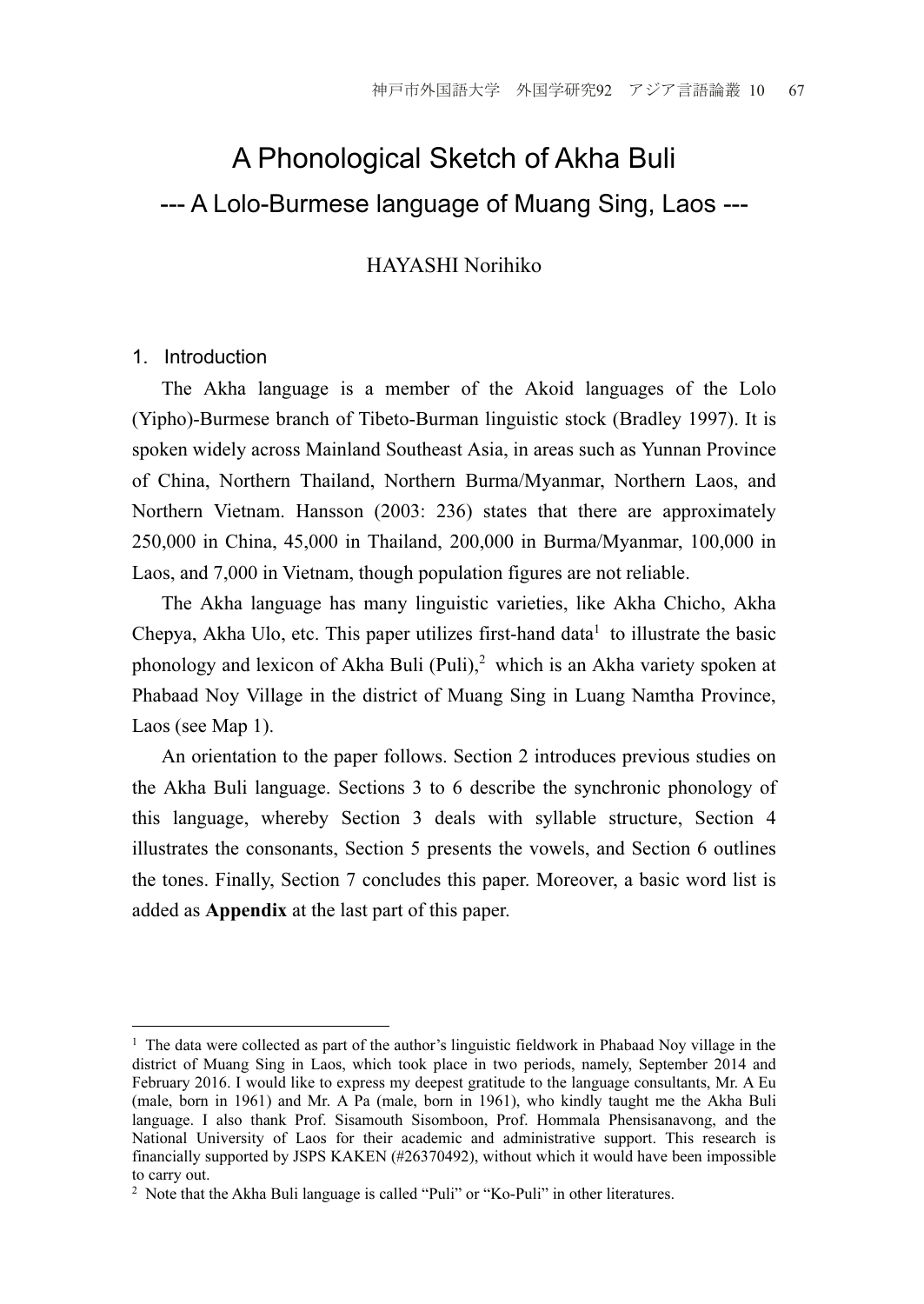# A Phonological Sketch of Akha Buli --- A Lolo-Burmese language of Muang Sing, Laos ---

HAYASHI Norihiko

#### 1. Introduction

 The Akha language is a member of the Akoid languages of the Lolo (Yipho)-Burmese branch of Tibeto-Burman linguistic stock (Bradley 1997). It is spoken widely across Mainland Southeast Asia, in areas such as Yunnan Province of China, Northern Thailand, Northern Burma/Myanmar, Northern Laos, and Northern Vietnam. Hansson (2003: 236) states that there are approximately 250,000 in China, 45,000 in Thailand, 200,000 in Burma/Myanmar, 100,000 in Laos, and 7,000 in Vietnam, though population figures are not reliable.

 The Akha language has many linguistic varieties, like Akha Chicho, Akha Chepya, Akha Ulo, etc. This paper utilizes first-hand data<sup>1</sup> to illustrate the basic phonology and lexicon of Akha Buli (Puli),<sup>2</sup> which is an Akha variety spoken at Phabaad Noy Village in the district of Muang Sing in Luang Namtha Province, Laos (see Map 1).

 An orientation to the paper follows. Section 2 introduces previous studies on the Akha Buli language. Sections 3 to 6 describe the synchronic phonology of this language, whereby Section 3 deals with syllable structure, Section 4 illustrates the consonants, Section 5 presents the vowels, and Section 6 outlines the tones. Finally, Section 7 concludes this paper. Moreover, a basic word list is added as **Appendix** at the last part of this paper.

<sup>1</sup> <sup>1</sup> The data were collected as part of the author's linguistic fieldwork in Phabaad Noy village in the district of Muang Sing in Laos, which took place in two periods, namely, September 2014 and February 2016. I would like to express my deepest gratitude to the language consultants, Mr. A Eu (male, born in 1961) and Mr. A Pa (male, born in 1961), who kindly taught me the Akha Buli language. I also thank Prof. Sisamouth Sisomboon, Prof. Hommala Phensisanavong, and the National University of Laos for their academic and administrative support. This research is financially supported by JSPS KAKEN (#26370492), without which it would have been impossible to carry out.

<sup>2</sup> Note that the Akha Buli language is called "Puli" or "Ko-Puli" in other literatures.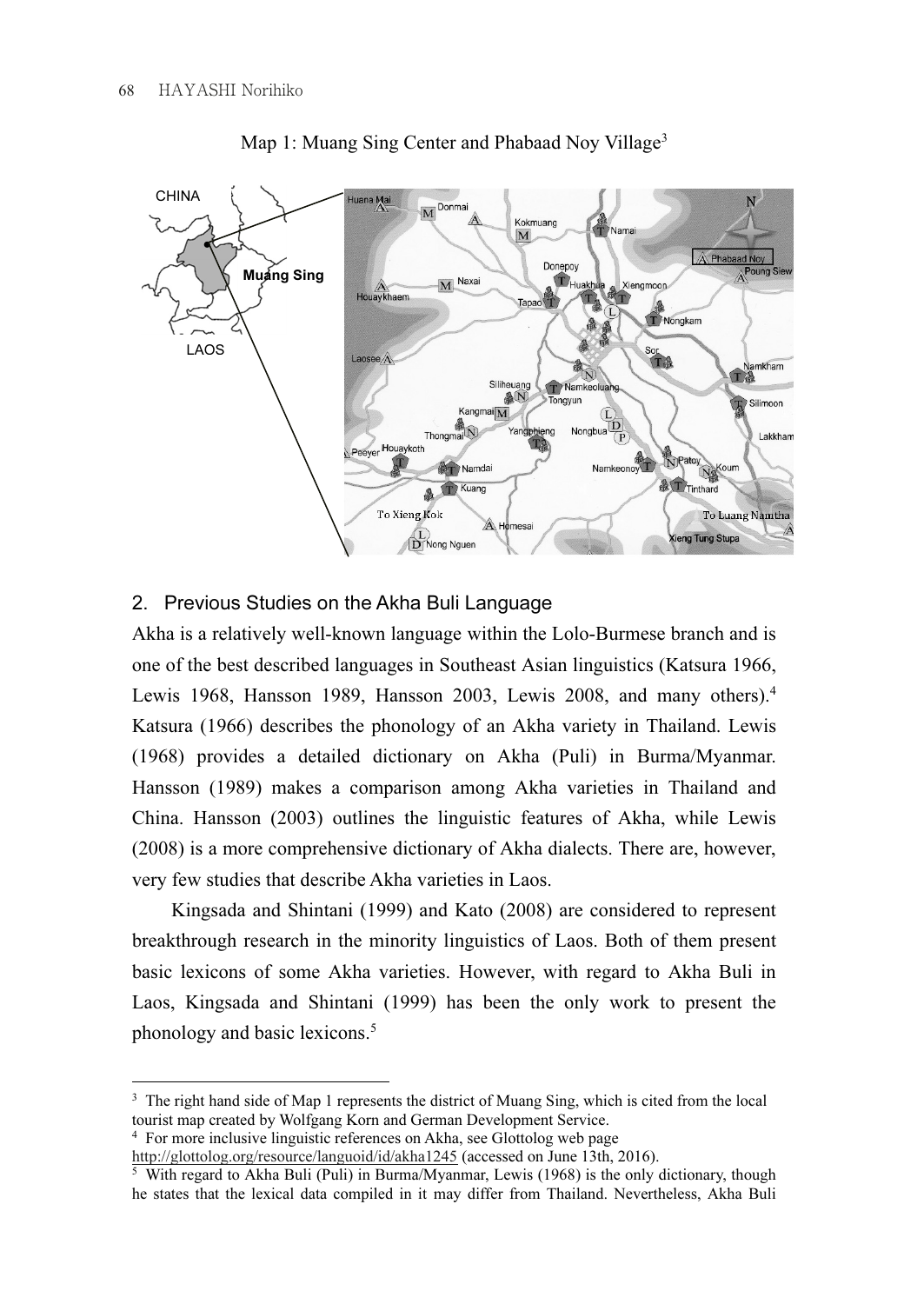

Map 1: Muang Sing Center and Phabaad Noy Village<sup>3</sup>

## 2. Previous Studies on the Akha Buli Language

Akha is a relatively well-known language within the Lolo-Burmese branch and is one of the best described languages in Southeast Asian linguistics (Katsura 1966, Lewis 1968, Hansson 1989, Hansson 2003, Lewis 2008, and many others).<sup>4</sup> Katsura (1966) describes the phonology of an Akha variety in Thailand. Lewis (1968) provides a detailed dictionary on Akha (Puli) in Burma/Myanmar. Hansson (1989) makes a comparison among Akha varieties in Thailand and China. Hansson (2003) outlines the linguistic features of Akha, while Lewis (2008) is a more comprehensive dictionary of Akha dialects. There are, however, very few studies that describe Akha varieties in Laos.

 Kingsada and Shintani (1999) and Kato (2008) are considered to represent breakthrough research in the minority linguistics of Laos. Both of them present basic lexicons of some Akha varieties. However, with regard to Akha Buli in Laos, Kingsada and Shintani (1999) has been the only work to present the phonology and basic lexicons.<sup>5</sup>

<sup>1</sup>  $3$  The right hand side of Map 1 represents the district of Muang Sing, which is cited from the local tourist map created by Wolfgang Korn and German Development Service.

<sup>&</sup>lt;sup>4</sup> For more inclusive linguistic references on Akha, see Glottolog web page http://glottolog.org/resource/languoid/id/akha1245 (accessed on June 13th, 2016).

<sup>&</sup>lt;sup>5</sup> With regard to Akha Buli (Puli) in Burma/Myanmar, Lewis (1968) is the only dictionary, though he states that the lexical data compiled in it may differ from Thailand. Nevertheless, Akha Buli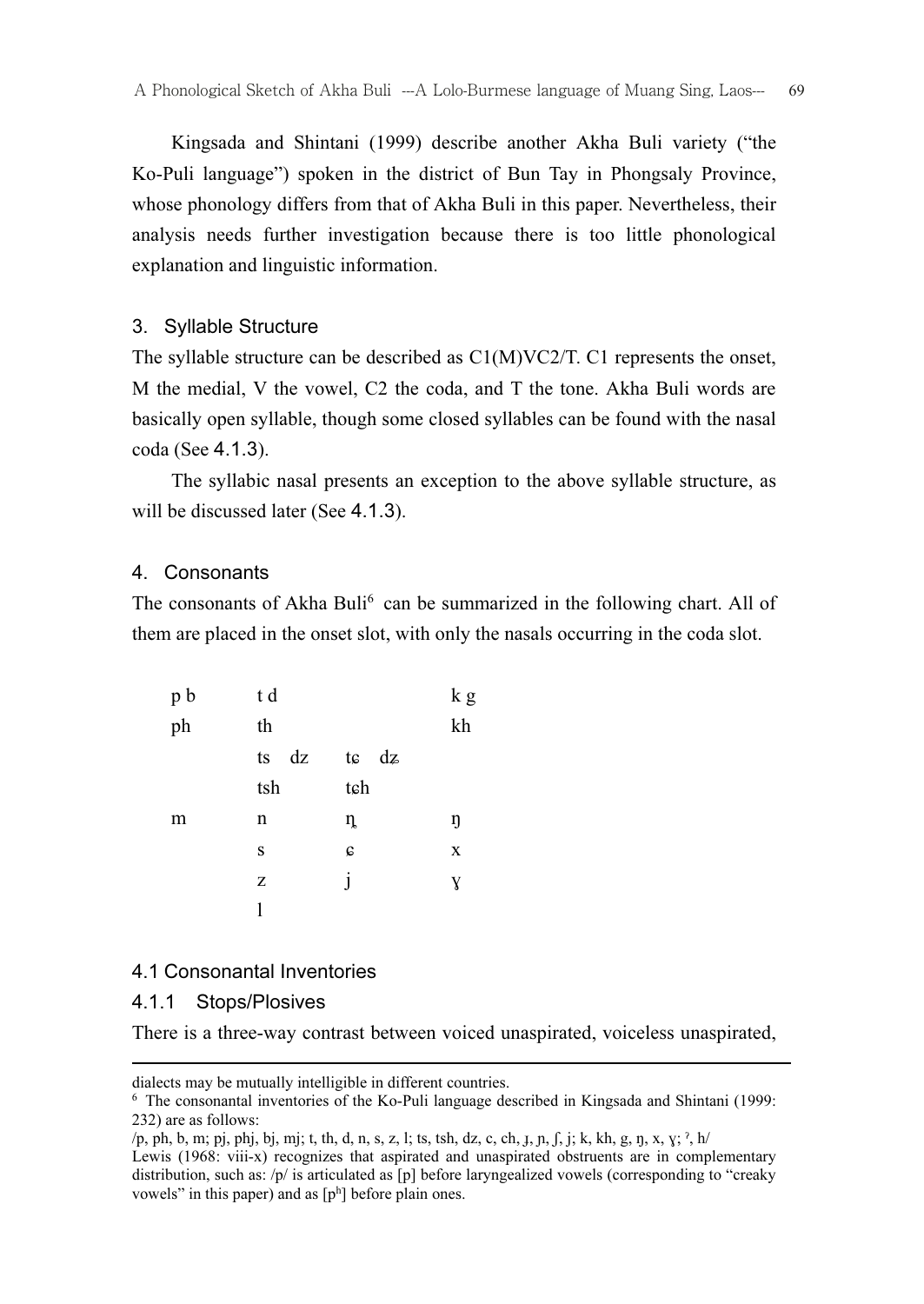Kingsada and Shintani (1999) describe another Akha Buli variety ("the Ko-Puli language") spoken in the district of Bun Tay in Phongsaly Province, whose phonology differs from that of Akha Buli in this paper. Nevertheless, their analysis needs further investigation because there is too little phonological explanation and linguistic information.

#### 3. Syllable Structure

The syllable structure can be described as C1(M)VC2/T. C1 represents the onset, M the medial, V the vowel, C2 the coda, and T the tone. Akha Buli words are basically open syllable, though some closed syllables can be found with the nasal coda (See 4.1.3).

 The syllabic nasal presents an exception to the above syllable structure, as will be discussed later (See 4.1.3).

#### 4. Consonants

The consonants of Akha Buli<sup>6</sup> can be summarized in the following chart. All of them are placed in the onset slot, with only the nasals occurring in the coda slot.

| p b | t d      |             | k g         |
|-----|----------|-------------|-------------|
| ph  | th       |             | kh          |
|     | dz<br>ts | te dz       |             |
|     | tsh      | tch         |             |
| m   | n        | ŋ           | ŋ           |
|     | S        | $\mathbf c$ | $\mathbf X$ |
|     | Z        | 1           | Y           |
|     | 1        |             |             |

## 4.1 Consonantal Inventories

#### 4.1.1 Stops/Plosives

1

There is a three-way contrast between voiced unaspirated, voiceless unaspirated,

dialects may be mutually intelligible in different countries.

<sup>6</sup> The consonantal inventories of the Ko-Puli language described in Kingsada and Shintani (1999: 232) are as follows:

<sup>/</sup>p, ph, b, m; pj, phj, bj, mj; t, th, d, n, s, z, l; ts, tsh, dz, c, ch, ɟ, ɲ, ʃ, j; k, kh, g, ŋ, x, ɣ; ˀ, h/

Lewis (1968: viii-x) recognizes that aspirated and unaspirated obstruents are in complementary distribution, such as: /p/ is articulated as [p] before laryngealized vowels (corresponding to "creaky vowels" in this paper) and as  $[p^h]$  before plain ones.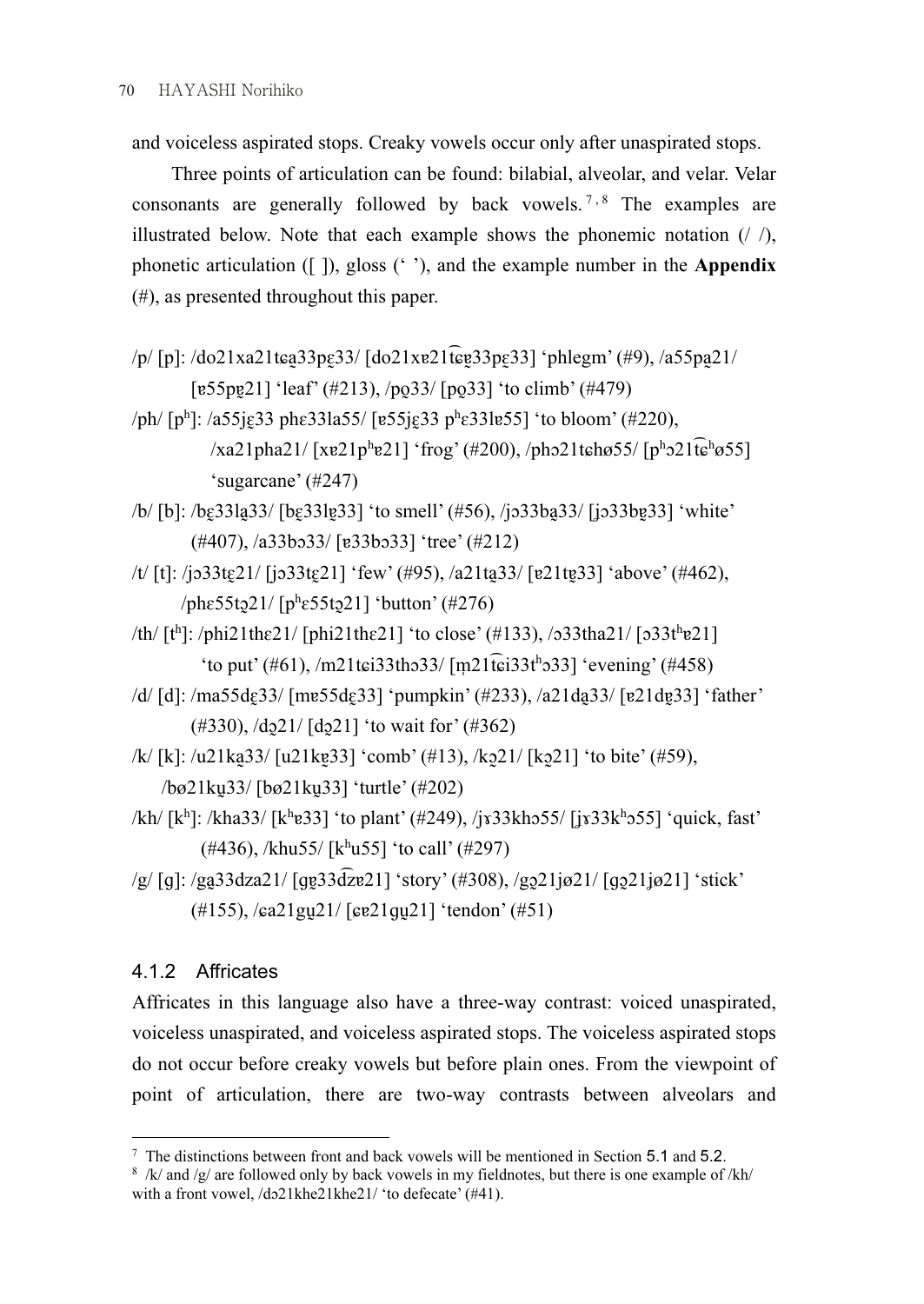and voiceless aspirated stops. Creaky vowels occur only after unaspirated stops.

 Three points of articulation can be found: bilabial, alveolar, and velar. Velar consonants are generally followed by back vowels.<sup>7,8</sup> The examples are illustrated below. Note that each example shows the phonemic notation  $(1/2)$ , phonetic articulation ([ ]), gloss (' '), and the example number in the Appendix (#), as presented throughout this paper.

- $/$ p $/$ [p]:  $/$ do21xa21t $\epsilon$ a $33$ p $\epsilon$  $33/$ [do21x $\epsilon$ 21 $\epsilon$  $\epsilon$ e $33$ p $\epsilon$  $33$ ] 'phlegm' (#9),  $/$ a55pa $\epsilon$ 21 $/$  $\lceil \frac{e55pe}{21} \rceil$  'leaf' (#213),  $\frac{1}{p}$  (po 33) 'to climb' (#479)
- /ph/ [pʰ]: /a55jɛ̯33 phɛ33la55/ [ɐ55jɛ̯33 pʰɛ33lɐ55] 'to bloom' (#220),  $\frac{1}{2}$  /xa21pha21/ [xe21p<sup>h</sup>e21] 'frog' (#200), /pho21tchø55/ [p<sup>h</sup>o21tchø55] 'sugarcane' (#247)
- /b/ [b]: /bɛ̰33la̰33/ [bɛ̰33lɐ̰33] 'to smell' (#56), /jɔ33ba̰33/ [ʝɔ33bɐ̰33] 'white' (#407), /a33bɔ33/ [ɐ33bɔ33] 'tree' (#212)
- /t/ [t]: /jɔ33tɛ21/ [jɔ33tɛ21] 'few' (#95), /a21ta33/ [ɐ21tɐ33] 'above' (#462),  $/$ phɛ55tɔ̯21/ [phɛ55tɔ̯21] 'button' (#276)
- $/\text{th}/[\text{t}^{\text{h}}]$ : /phi21th $\epsilon$ 21/ [phi21th $\epsilon$ 21] 'to close' (#133), /o33tha21/ [o33the21] 'to put' (#61), /m21t $\epsilon$ i33tho33/ [m21t͡ $\epsilon$ i33t<sup>h</sup>o33] 'evening' (#458)
- /d/ [d]: /ma55dɛ̰33/ [mɐ55dɛ̰33] 'pumpkin' (#233), /a21da̰33/ [ɐ21dɐ̰33] 'father'  $(\#330)$ ,  $\frac{\text{d}^{21}}{\text{d}^{21}}$  (do 21] 'to wait for'  $(\#362)$
- /k/ [k]: /u21ka̰33/ [u21kɐ̰33] 'comb' (#13), /kɔ̰21/ [kɔ̰21] 'to bite' (#59), /bø21kṵ33/ [bø21kṵ33] 'turtle' (#202)
- /kh/ [kʰ]: /kha33/ [kʰɐ33] 'to plant' (#249), /jɤ33khɔ55/ [jɤ33kʰɔ55] 'quick, fast'  $(\#436)$ , /khu55/ [khu55] 'to call' (#297)
- $\frac{g}{g}$  [g]:  $\frac{g}{33}$ dza21/ [ge $\frac{33}{\sqrt{2}}$ e21] 'story' (#308),  $\frac{g}{221}$ jø21/ [go $\frac{21}{\sqrt{g}}$ 21] 'stick' (#155), /ɕa21gṵ21/ [ɕɐ21ɡṵ21] 'tendon' (#51)

# 4.1.2 Affricates

Affricates in this language also have a three-way contrast: voiced unaspirated, voiceless unaspirated, and voiceless aspirated stops. The voiceless aspirated stops do not occur before creaky vowels but before plain ones. From the viewpoint of point of articulation, there are two-way contrasts between alveolars and

 $7$  The distinctions between front and back vowels will be mentioned in Section 5.1 and 5.2.

 $8$  /k/ and /g/ are followed only by back vowels in my fieldnotes, but there is one example of /kh/ with a front vowel, /dɔ21khe21khe21/ 'to defecate' (#41).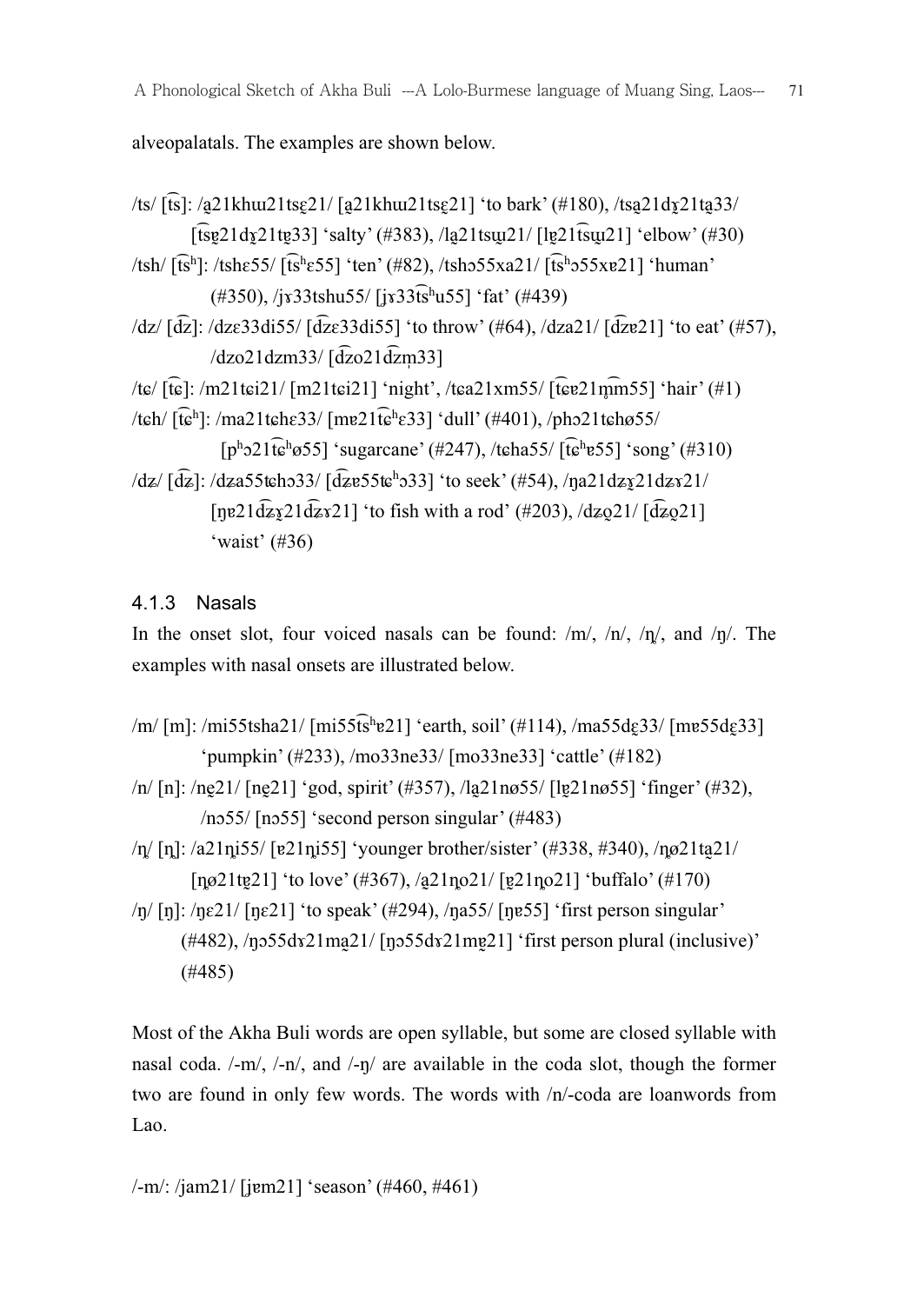alveopalatals. The examples are shown below.

```
/ts/ [t͡s]: /a̰21khɯ21tsɛ̰21/ [a̰21khɯ21tsɛ̰21] 'to bark' (#180), /tsa̰21dɤ̰21ta̰33/ 
            [f\hat{s}v21dr21tv33]'salty' (#383), /la21t\sin(21/\text{[Fe21\,}t\sin(21/\text{[Fe21\,}t\sin(21/\text{[Fe21,}t\sin(21/\text{[Fe21,}t\sin(21/\text{[Fe21,}t\sin(21/\text{[Fe21,}t\sin(21/\text{[Fe21,}t\sin(21/\text{[Fe21,}t\sin(21/\text{[Fe21,}t\sin(21/\text{[Fe21,}t\sin(21/\text{[Fe21,}t\sin(21/\text{[Fe21,}\frac{1}{16h}[t͡sh]: /tshɛ55/ [t͡shɛ55] 'ten' (#82), /tshɔ55xa21/ [t͡shɔ55xɐ21] 'human'
                 (#350), /jɤ33tshu55/ [ʝɤ33t͡sh
u55] 'fat' (#439) 
\frac{dz}{dz} [d͡z]: \frac{dz}{33d155} [d͡zɛ33di55] 'to throw' (#64), \frac{dz}{dz} [d͡zɐ21] 'to eat' (#57),
                \frac{d}{d}zo21dzm33/\frac{d}{d}zo21d\frac{d}{d}zm33]
/tɕ/ [t͡ɕ]: /m21tɕi21/ [m21tɕi21] 'night', /tɕa21xm55/ [t͡ɕɐ21m̥
͡m55] 'hair' (#1) 
/tch/[\hat{t}e^h]: /ma21tch\epsilon33/ [me21\hat{t}e^h\epsilon33] 'dull' (#401), /pho21tch\epsilon55/
                   [p^h21\widehat{t}e^hø55] 'sugarcane' (#247), /t\widehat{t}e^ha55/[\widehat{t}e^he55] 'song' (#310)
\frac{dz}{[dz]}: \frac{dz}{a}55tcho33/\frac{d}{dz}e55tc<sup>h</sup>o33] 'to seek' (#54), \frac{dz}{a}21dz\frac{z}{21}[\etae21d\overline{z}s21d\overline{z}s21] 'to fish with a rod' (#203), /d\overline{z}o21/[\overline{dz}o21]
                 'waist' (#36)
```
# 4.1.3 Nasals

In the onset slot, four voiced nasals can be found:  $/m/$ ,  $/n/$ ,  $/n/$ , and  $/n/$ . The examples with nasal onsets are illustrated below.

- /m/ [m]: /mi55tsha21/ [mi55t͡sʰɐ21] 'earth, soil' (#114), /ma55dɛ̯33/ [mɐ55dɛ̯33] 'pumpkin' (#233), /mo33ne33/ [mo33ne33] 'cattle' (#182)
- /n/ [n]: /nḛ21/ [nḛ21] 'god, spirit' (#357), /la̰21nø55/ [lɐ̰21nø55] 'finger' (#32), /nɔ55/ [nɔ55] 'second person singular' (#483)
- $/\eta$  [n]:  $\alpha$ 21ni55/ [ɐ21ni55] 'younger brother/sister' (#338, #340),  $/\eta$ ø21ta<sup>21/</sup> [ $\frac{1}{10}$ [nø21tɐ21] 'to love' (#367), /a21no21/ [ɐ21no21] 'buffalo' (#170)
- $\ln$  [n]:  $\ln 21$  [ne21] 'to speak' (#294),  $\ln 255$  [ne55] 'first person singular'  $(\#482)$ ,  $/n555dx21ma21/ [n555dx21me21]$  'first person plural (inclusive)' (#485)

Most of the Akha Buli words are open syllable, but some are closed syllable with nasal coda. /-m/, /-n/, and /-ŋ/ are available in the coda slot, though the former two are found in only few words. The words with /n/-coda are loanwords from Lao.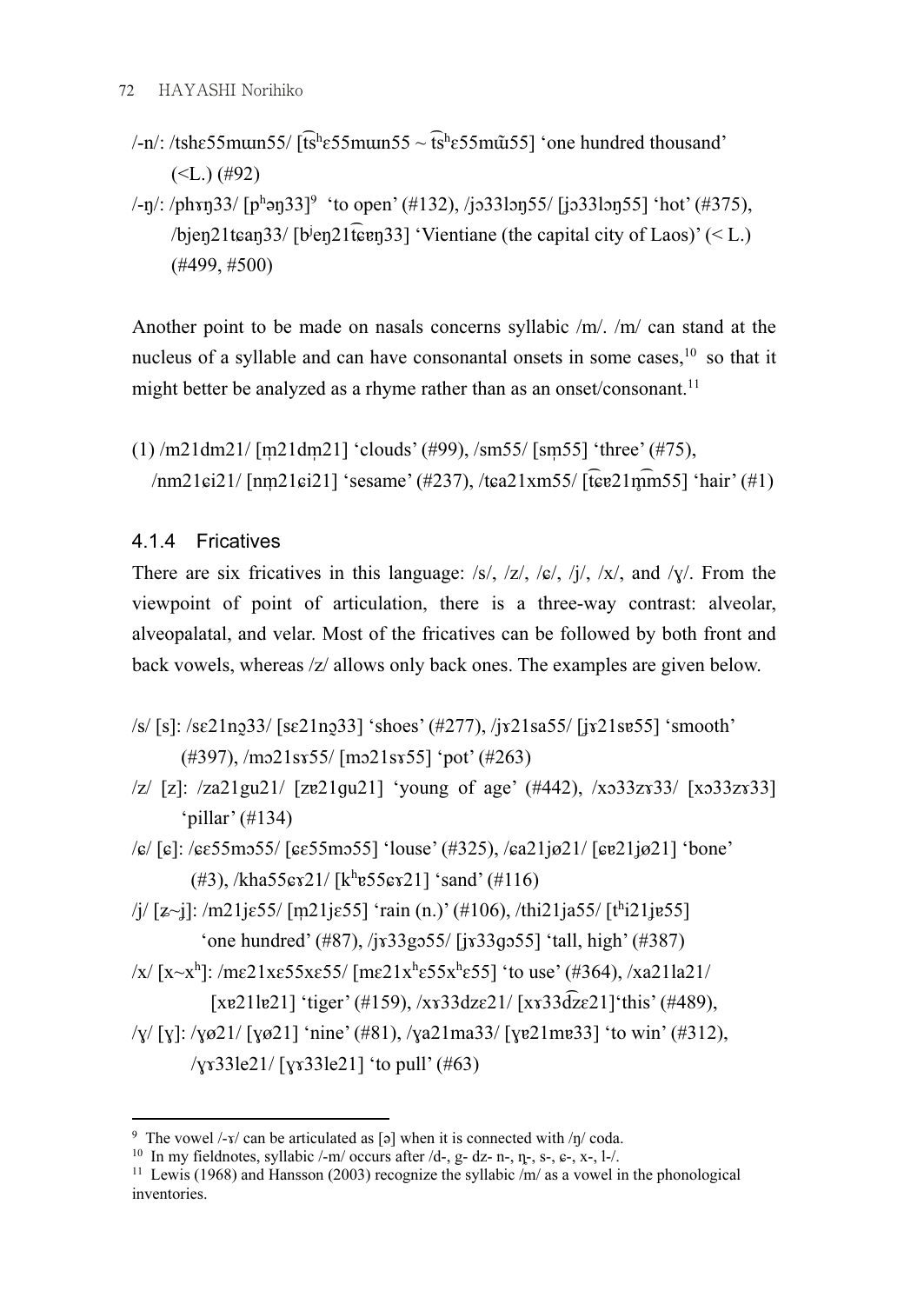- /-n/: /tshɛ55mɯn55/ [t͡sʰɛ55mɯn55 ~ t͡sʰɛ55m $\tilde{u}$ 55] 'one hundred thousand'  $(**L**.)$  (#92)
- /-ŋ/: /phxŋ33/ [pʰəŋ33]<sup>9</sup> 'to open' (#132), /jɔ33lɔŋ55/ [jɔ33lɔŋ55] 'hot' (#375), /bjen21tɛan33/ [b<sup>j</sup>en21t͡ɛɐn33] 'Vientiane (the capital city of Laos)' (< L.) (#499, #500)

Another point to be made on nasals concerns syllabic /m/. /m/ can stand at the nucleus of a syllable and can have consonantal onsets in some cases.<sup>10</sup> so that it might better be analyzed as a rhyme rather than as an onset/consonant.<sup>11</sup>

 $(1)$  /m21dm21/ [m21dm21] 'clouds' (#99), /sm55/ [sm55] 'three' (#75), /nm21ci21/ [nm21ci21] 'sesame' (#237), /tca21xm55/ [t͡cɐ21m͡m55] 'hair' (#1)

## 4.1.4 Fricatives

There are six fricatives in this language:  $\frac{s}{\sqrt{s}}$ ,  $\frac{s}{\sqrt{s}}$ ,  $\frac{s}{\sqrt{s}}$ ,  $\frac{s}{\sqrt{s}}$ ,  $\frac{s}{\sqrt{s}}$ , and  $\frac{s}{\sqrt{s}}$ . From the viewpoint of point of articulation, there is a three-way contrast: alveolar, alveopalatal, and velar. Most of the fricatives can be followed by both front and back vowels, whereas /z/ allows only back ones. The examples are given below.

- /s/ [s]: /sɛ21nɔ̰33/ [sɛ21nɔ̰33] 'shoes' (#277), /jɤ21sa55/ [ʝɤ21sɐ55] 'smooth' (#397), /mɔ21sɤ55/ [mɔ21sɤ55] 'pot' (#263)
- /z/ [z]: /za21gu21/ [zɐ21ɡu21] 'young of age' (#442), /xɔ33zɤ33/ [xɔ33zɤ33] 'pillar' (#134)
- /ɕ/ [ɕ]: /ɕɛ55mɔ55/ [ɕɛ55mɔ55] 'louse' (#325), /ɕa21jø21/ [ɕɐ21ʝø21] 'bone'  $(\#3)$ , /kha55 $\frac{\#21}{k^{h}}$ e55 $\frac{\#21}{k^{h}}$  'sand'  $(\#116)$
- /j/ [z~j]: /m21jɛ55/ [m21jɛ55] 'rain (n.)' (#106), /thi21ja55/ [tʰi21jɐ55] 'one hundred' (#87),  $\frac{1}{8}$  ( $\frac{1}{8}$ 33gɔ55/ [ix33gɔ55] 'tall, high' (#387)
- /x/ [x~x<sup>h</sup>]: /mε21xε55xε55/ [mε21x<sup>h</sup>ε55x<sup>h</sup>ε55] 'to use' (#364), /xa21la21/

[xɐ21lɐ21] 'tiger' (#159), /xɤ33dzɛ21/ [xɤ33d͡zɛ21]'this' (#489),

/ɣ/ [ɣ]: /ɣø21/ [ɣø21] 'nine' (#81), /ɣa21ma33/ [ɣɐ21mɐ33] 'to win' (#312), /ɣɤ33le21/ [ɣɤ33le21] 'to pull' (#63)

<sup>1</sup> <sup>9</sup> The vowel /-*x*/ can be articulated as [ə] when it is connected with /ŋ/ coda.

<sup>&</sup>lt;sup>10</sup> In my fieldnotes, syllabic  $\text{/-m/ occurs after /d-, g- dz- n-, \eta-, s-, \varepsilon-, x-, l-}.$ 

<sup>&</sup>lt;sup>11</sup> Lewis (1968) and Hansson (2003) recognize the syllabic  $/m/a$  as a vowel in the phonological inventories.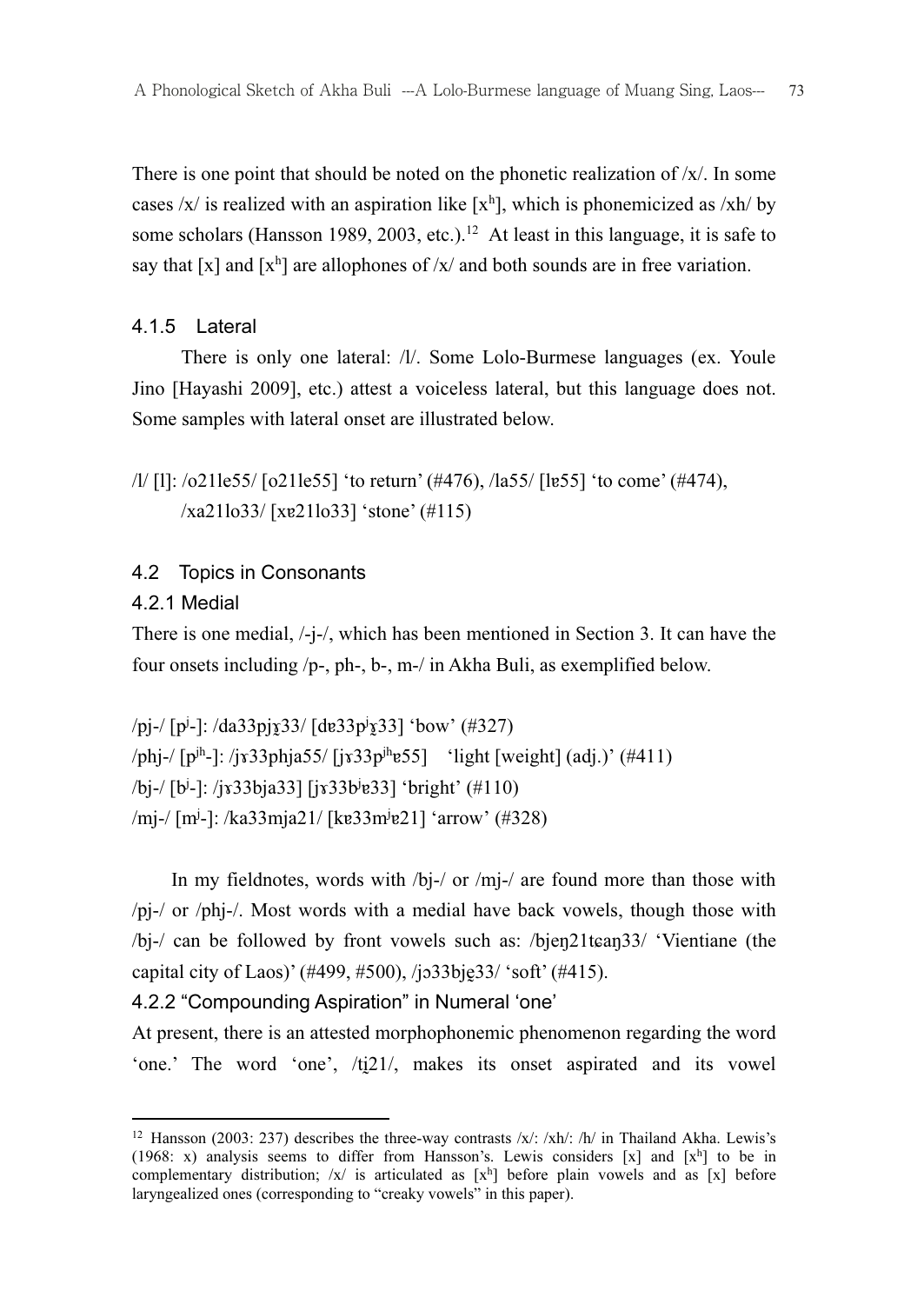There is one point that should be noted on the phonetic realization of  $/x$ . In some cases  $/x/$  is realized with an aspiration like  $[x^h]$ , which is phonemicized as  $xh/$  by some scholars (Hansson 1989, 2003, etc.).<sup>12</sup> At least in this language, it is safe to say that [x] and [x<sup>h</sup>] are allophones of  $/x/$  and both sounds are in free variation.

## 4.1.5 Lateral

 There is only one lateral: /l/. Some Lolo-Burmese languages (ex. Youle Jino [Hayashi 2009], etc.) attest a voiceless lateral, but this language does not. Some samples with lateral onset are illustrated below.

```
/l/ [l]: /o21le55/ [o21le55] 'to return' (#476), /la55/ [lɐ55] 'to come' (#474), 
       /xa21lo33/ [xɐ21lo33] 'stone' (#115)
```
## 4.2 Topics in Consonants

## 4.2.1 Medial

There is one medial, /-j-/, which has been mentioned in Section 3. It can have the four onsets including /p-, ph-, b-, m-/ in Akha Buli, as exemplified below.

```
/pj-/ [p<sup>j</sup>-]: /da33pjx̄33/ [dɐ33pʲx̄33] 'bow' (#327)
\pi/phj-/ [p<sup>jh</sup>-]: /jx33phja55/ [jx33p<sup>jh</sup>e55] 'light [weight] (adj.)' (#411)
/bj-/ [bj
-]: /jɤ33bja33] [jɤ33bj
ɐ33] 'bright' (#110) 
/mj-/ [mʲ-]: /ka33mja21/ [kɐ33mʲɐ21] 'arrow' (#328)
```
In my fieldnotes, words with /bi-/ or /mi-/ are found more than those with /pj-/ or /phj-/. Most words with a medial have back vowels, though those with /bj-/ can be followed by front vowels such as: /bjeŋ21tɕaŋ33/ 'Vientiane (the capital city of Laos)' (#499, #500), /jo33bje33/ 'soft' (#415).

## 4.2.2 "Compounding Aspiration" in Numeral 'one'

At present, there is an attested morphophonemic phenomenon regarding the word 'one.' The word 'one', /ti21/, makes its onset aspirated and its vowel

<sup>1</sup> <sup>12</sup> Hansson (2003: 237) describes the three-way contrasts /x/: /xh/: /h/ in Thailand Akha. Lewis's (1968: x) analysis seems to differ from Hansson's. Lewis considers [x] and  $[x^h]$  to be in complementary distribution;  $/x/$  is articulated as  $[x^h]$  before plain vowels and as  $[x]$  before laryngealized ones (corresponding to "creaky vowels" in this paper).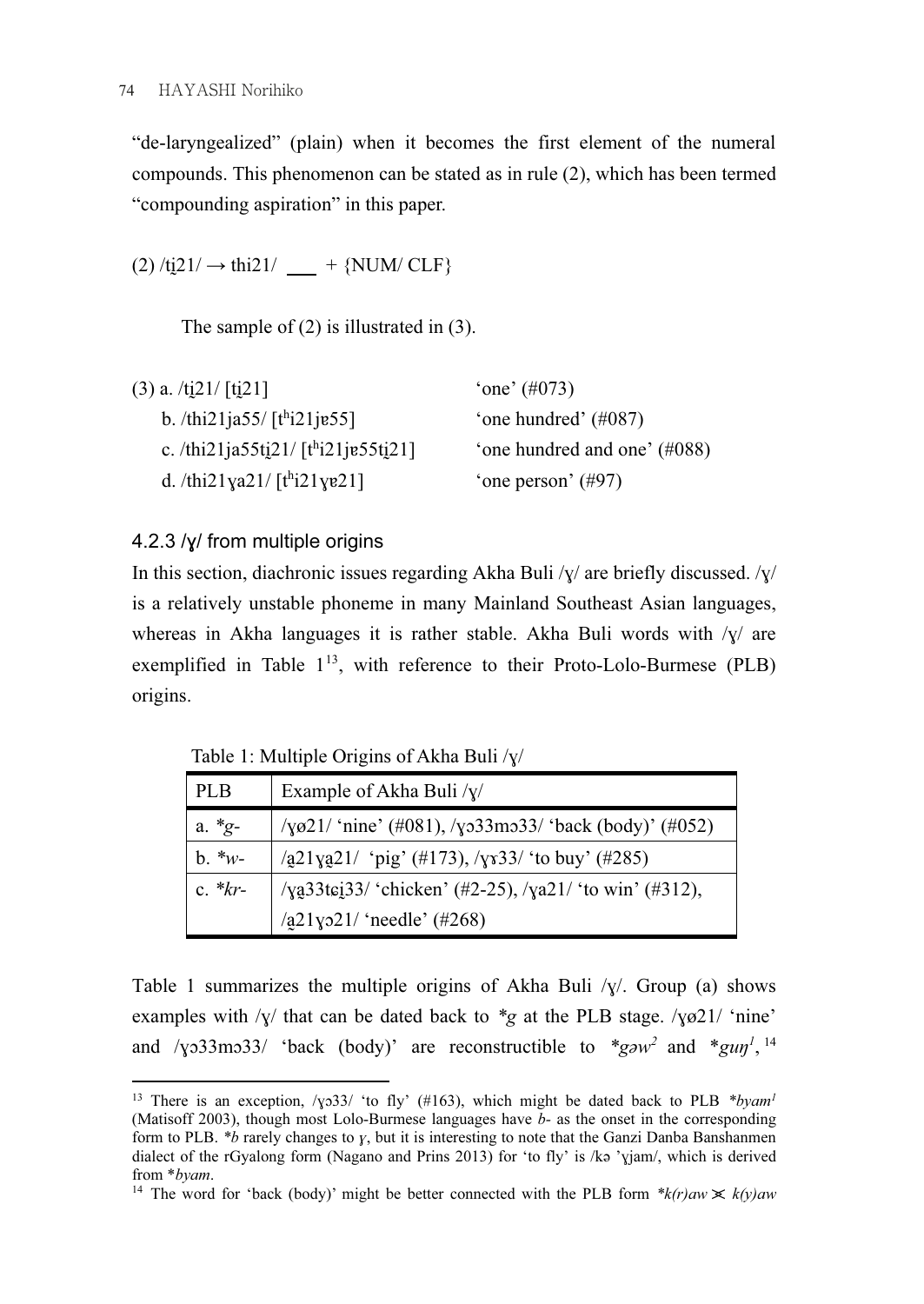"de-laryngealized" (plain) when it becomes the first element of the numeral compounds. This phenomenon can be stated as in rule (2), which has been termed "compounding aspiration" in this paper.

 $(2)$  /ti21/  $\rightarrow$  thi21/  $+$  {NUM/ CLF}

The sample of (2) is illustrated in (3).

| $\text{`one'} (\#073)$         |
|--------------------------------|
| 'one hundred' $(\text{\#}087)$ |
| 'one hundred and one' (#088)   |
| 'one person' $(\#97)$          |
|                                |

## 4.2.3 /ɣ/ from multiple origins

In this section, diachronic issues regarding Akha Buli  $\gamma/\gamma$  are briefly discussed.  $\gamma/\gamma$ is a relatively unstable phoneme in many Mainland Southeast Asian languages, whereas in Akha languages it is rather stable. Akha Buli words with  $\sqrt{y}$  are exemplified in Table  $1^{13}$ , with reference to their Proto-Lolo-Burmese (PLB) origins.

Table 1: Multiple Origins of Akha Buli /ɣ/

| <b>PLB</b>   | Example of Akha Buli $/y/$                                              |
|--------------|-------------------------------------------------------------------------|
| a. $*_{g^-}$ | / $\gamma$ ø21/ 'nine' (#081), / $\gamma$ o33mo33/ 'back (body)' (#052) |
| $b. *w-$     | $\sqrt{a}21ya21/$ 'pig' (#173), $\sqrt{y}33/$ 'to buy' (#285)           |
| $c. *kr-$    | /ya23tei23/ 'chicken' (#2-25), /ya21/ 'to win' (#312),                  |
|              | $\sqrt{21y}21/$ 'needle' (#268)                                         |

Table 1 summarizes the multiple origins of Akha Buli  $/y'$ . Group (a) shows examples with / $y$  that can be dated back to  $*_g$  at the PLB stage.  $\sqrt{1/2}$  inne and / $\gamma$ 33mo33/ 'back (body)' are reconstructible to  $\frac{1}{2}$  and  $\frac{1}{2}$  and  $\frac{1}{2}$  and  $\frac{1}{2}$ 

<sup>1</sup> <sup>13</sup> There is an exception, / $\gamma$ 33/ 'to fly' (#163), which might be dated back to PLB \**byam<sup>1</sup>* (Matisoff 2003) though most Lolo-Burmese languages have *h*- as the onset in the corresponding (Matisoff 2003), though most Lolo-Burmese languages have  $b$ - as the onset in the corresponding form to PLB.  $*b$  rarely changes to  $\gamma$ , but it is interesting to note that the Ganzi Danba Banshanmen dialect of the rGyalong form (Nagano and Prins 2013) for 'to fly' is /kə 'ɣjam/, which is derived from *\*byam.*<br><sup>14</sup> The word for 'back (body)' might be better connected with the PLB form *\*k(r)aw*  $\angle k(y)$ aw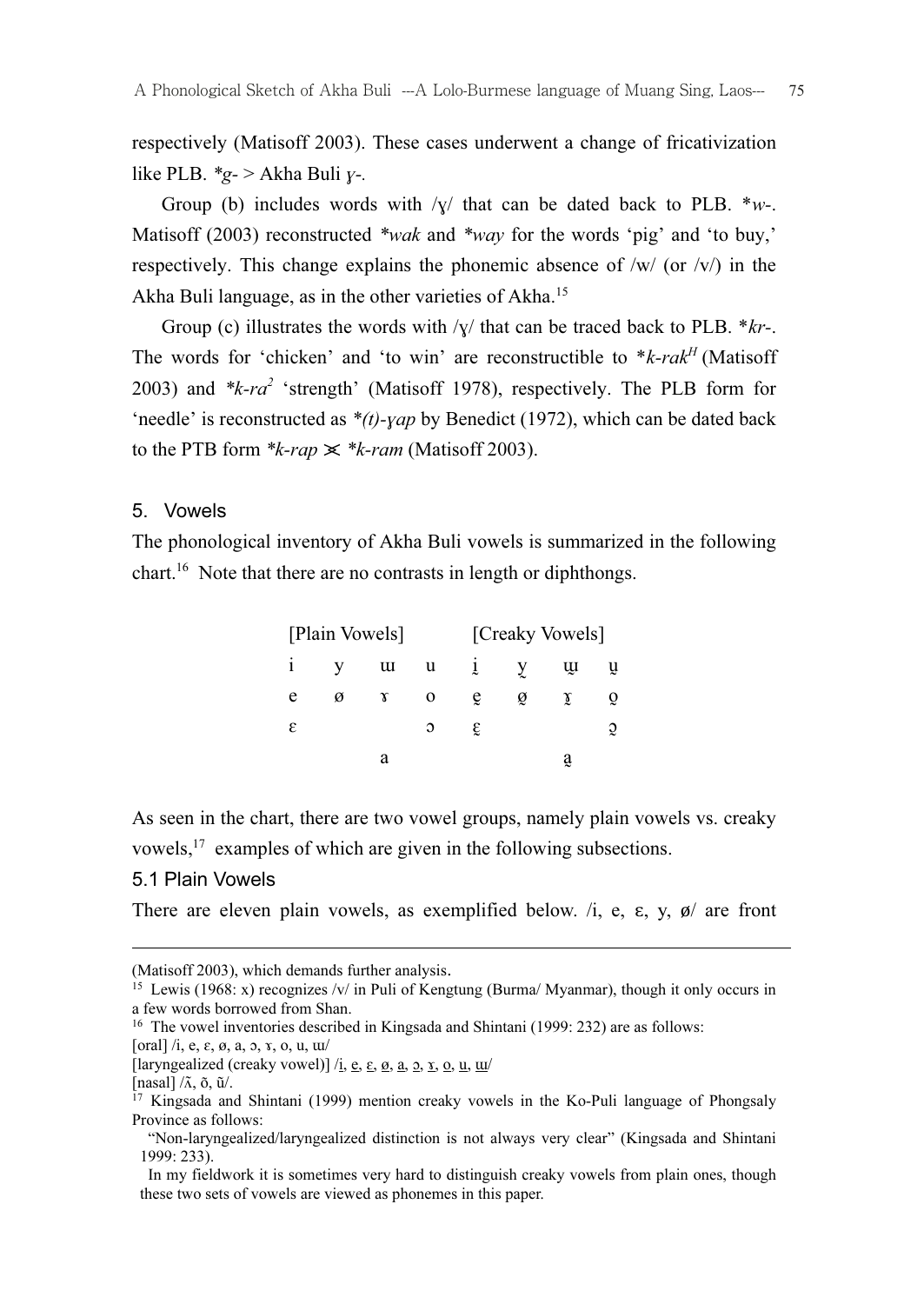respectively (Matisoff 2003). These cases underwent a change of fricativization like PLB.  $*_g$ - > Akha Buli y-.

Group (b) includes words with  $/y/$  that can be dated back to PLB. \*w-. Matisoff (2003) reconstructed \*wak and \*way for the words 'pig' and 'to buy,' respectively. This change explains the phonemic absence of  $/w/$  (or  $/v/$ ) in the Akha Buli language, as in the other varieties of Akha.<sup>15</sup>

Group (c) illustrates the words with  $\sqrt{y}$  that can be traced back to PLB. \* $kr$ -. The words for 'chicken' and 'to win' are reconstructible to  $*_{k-rak}H$  (Matisoff 2003) and  $*k-ra^2$  'strength' (Matisoff 1978), respectively. The PLB form for 'needle' is reconstructed as  $*(t)$ -yap by Benedict (1972), which can be dated back to the PTB form  $*k$ -rap  $\leq k$ -ram (Matisoff 2003).

#### 5. Vowels

The phonological inventory of Akha Buli vowels is summarized in the following chart.<sup>16</sup> Note that there are no contrasts in length or diphthongs.

| [Plain Vowels] |   |   |   | [Creaky Vowels] |   |    |   |
|----------------|---|---|---|-----------------|---|----|---|
|                |   | u | u | ļ               |   | ųı |   |
| e              | ø | Υ | O | ę               | ø | γ  |   |
| ε              |   |   | Э | ε               |   |    | č |
|                |   | a |   |                 |   | ą  |   |

As seen in the chart, there are two vowel groups, namely plain vowels vs. creaky vowels,  $17$  examples of which are given in the following subsections.

#### 5.1 Plain Vowels

There are eleven plain vowels, as exemplified below.  $/i$ , e,  $\varepsilon$ ,  $y$ ,  $\phi$  are front

1

<sup>(</sup>Matisoff 2003), which demands further analysis.<br><sup>15</sup> Lewis (1968: x) recognizes /v/ in Puli of Kengtung (Burma/ Myanmar), though it only occurs in a few words borrowed from Shan.

<sup>&</sup>lt;sup>16</sup> The vowel inventories described in Kingsada and Shintani (1999: 232) are as follows:

<sup>[</sup>oral]  $/i$ , e,  $\varepsilon$ ,  $\varnothing$ , a,  $\varnothing$ ,  $x$ ,  $\varnothing$ ,  $u$ ,  $uu'$ 

<sup>[</sup>laryngealized (creaky vowel)]  $\overline{\textit{i}}$ , e,  $\varepsilon$ ,  $\overline{\textit{o}}$ ,  $\overline{\textit{a}}$ ,  $\overline{\textit{o}}$ ,  $\overline{\textit{u}}$ ,  $\overline{\textit{u}}$ 

 $[nasal]/\tilde{\Lambda}$ ,  $\tilde{\sigma}$ ,  $\tilde{u}/$ .

<sup>&</sup>lt;sup>17</sup> Kingsada and Shintani (1999) mention creaky vowels in the Ko-Puli language of Phongsaly Province as follows:

 <sup>&</sup>quot;Non-laryngealized/laryngealized distinction is not always very clear" (Kingsada and Shintani 1999: 233).

In my fieldwork it is sometimes very hard to distinguish creaky vowels from plain ones, though these two sets of vowels are viewed as phonemes in this paper.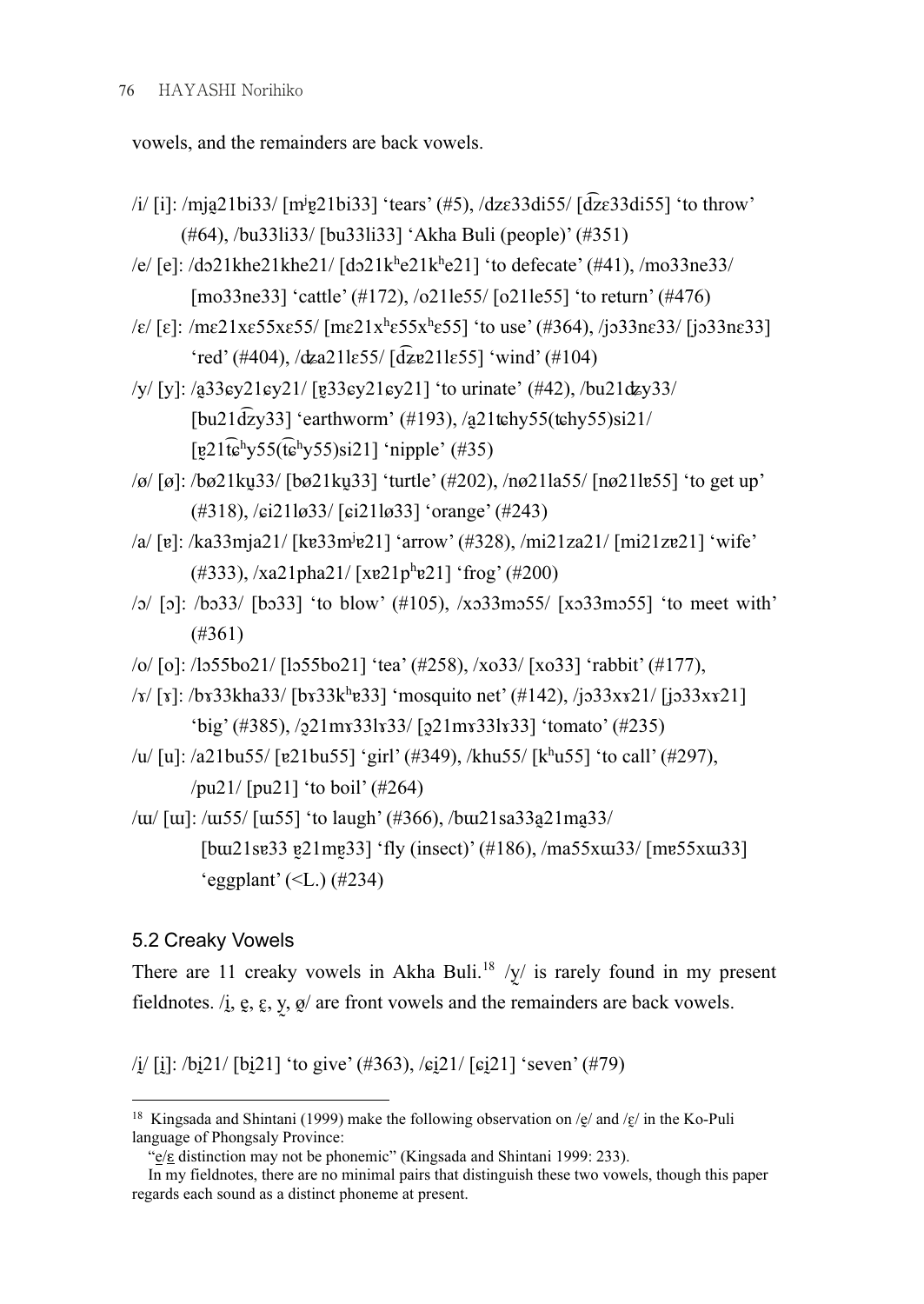vowels, and the remainders are back vowels.

- /i/ [i]: /mja̯21bi33/ [m<sup>j</sup>ɐ̯21bi33] 'tears' (#5), /dzɛ33di55/ [d͡zɛ33di55] 'to throw' (#64), /bu33li33/ [bu33li33] 'Akha Buli (people)' (#351)
- /e/ [e]: /dɔ21khe21khe21/ [dɔ21kʰe21kʰe21] 'to defecate' (#41), /mo33ne33/ [mo33ne33] 'cattle' (#172), /o21le55/ [o21le55] 'to return' (#476)
- $\sqrt{\epsilon}$  [ε]: /mε21xε55xε55/ [mε21x<sup>h</sup>ε55x<sup>h</sup>ε55] 'to use' (#364), /jɔ33nɛ33/ [jɔ33nɛ33] 'red' (#404), /ʥa21lɛ55/ [d͡ʑɐ21lɛ55] 'wind' (#104)
- /y/ [y]: /a̰33ɕy21ɕy21/ [ɐ̰33ɕy21ɕy21] 'to urinate' (#42), /bu21ʥy33/  $[bu21\overline{d}zy33]$  'earthworm' (#193), /a $21$ tchy55(tchy55)si21/  $[g21\widehat{t}\widehat{\mathbf{e}}^h y55(\widehat{t}\widehat{\mathbf{e}}^h y55)si21]$ 'nipple' (#35)
- /ø/ [ø]: /bø21kṵ33/ [bø21kṵ33] 'turtle' (#202), /nø21la55/ [nø21lɐ55] 'to get up' (#318), /ɕi21lø33/ [ɕi21lø33] 'orange' (#243)
- /a/ [ɐ]: /ka33mja21/ [kɐ33m<sup>j</sup> ɐ21] 'arrow' (#328), /mi21za21/ [mi21zɐ21] 'wife'  $(\text{\#333}), \text{\#321pha21}/ \text{[xe21p^he21]}$  'frog' (#200)
- /ɔ/ [ɔ]: /bɔ33/ [bɔ33] 'to blow' (#105), /xɔ33mɔ55/ [xɔ33mɔ55] 'to meet with' (#361)
- /o/ [o]: /lɔ55bo21/ [lɔ55bo21] 'tea' (#258), /xo33/ [xo33] 'rabbit' (#177),
- $\sqrt{x}$  [ $x$ ]: /b $x33$ kha33/ [b $x33$ k<sup>h</sup> $x33$ ] 'mosquito net' (#142), /j $x33x$  $x21$ / [j $x33x$  $x21$ ] 'big' (#385), /ɔ̰21mɤ33lɤ33/ [ɔ̰21mɤ33lɤ33] 'tomato' (#235)
- /u/ [u]: /a21bu55/ [ɐ21bu55] 'girl' (#349), /khu55/ [kʰu55] 'to call' (#297), /pu21/ [pu21] 'to boil' (#264)
- $\mu$ u/ [u]:  $\mu$ u55/ [ui55] 'to laugh' (#366),  $\mu$ u $21$ sa33a $21$ ma33/ [bui21se33 e21me33] 'fly (insect)' (#186), /ma55xui33/ [me55xui33] 'eggplant' (< $L$ .) (#234)

## 5.2 Creaky Vowels

There are 11 creaky vowels in Akha Buli.<sup>18</sup> /y/ is rarely found in my present fieldnotes. /i̯, e̯,  $\xi$ ,  $y$ ,  $\varrho$ / are front vowels and the remainders are back vowels.

 $/$ i $/$ [i]:  $/$ bi $/$ 21/ [bi $/$ 21] 'to give' (#363),  $/$ si $/$ 21/ [si $/$ 21] 'seven' (#79)

<sup>1</sup> <sup>18</sup> Kingsada and Shintani (1999) make the following observation on / $g$ / and / $g$ / in the Ko-Puli language of Phongsaly Province:

 <sup>&</sup>quot;e/ɛ distinction may not be phonemic" (Kingsada and Shintani 1999: 233).

In my fieldnotes, there are no minimal pairs that distinguish these two vowels, though this paper regards each sound as a distinct phoneme at present.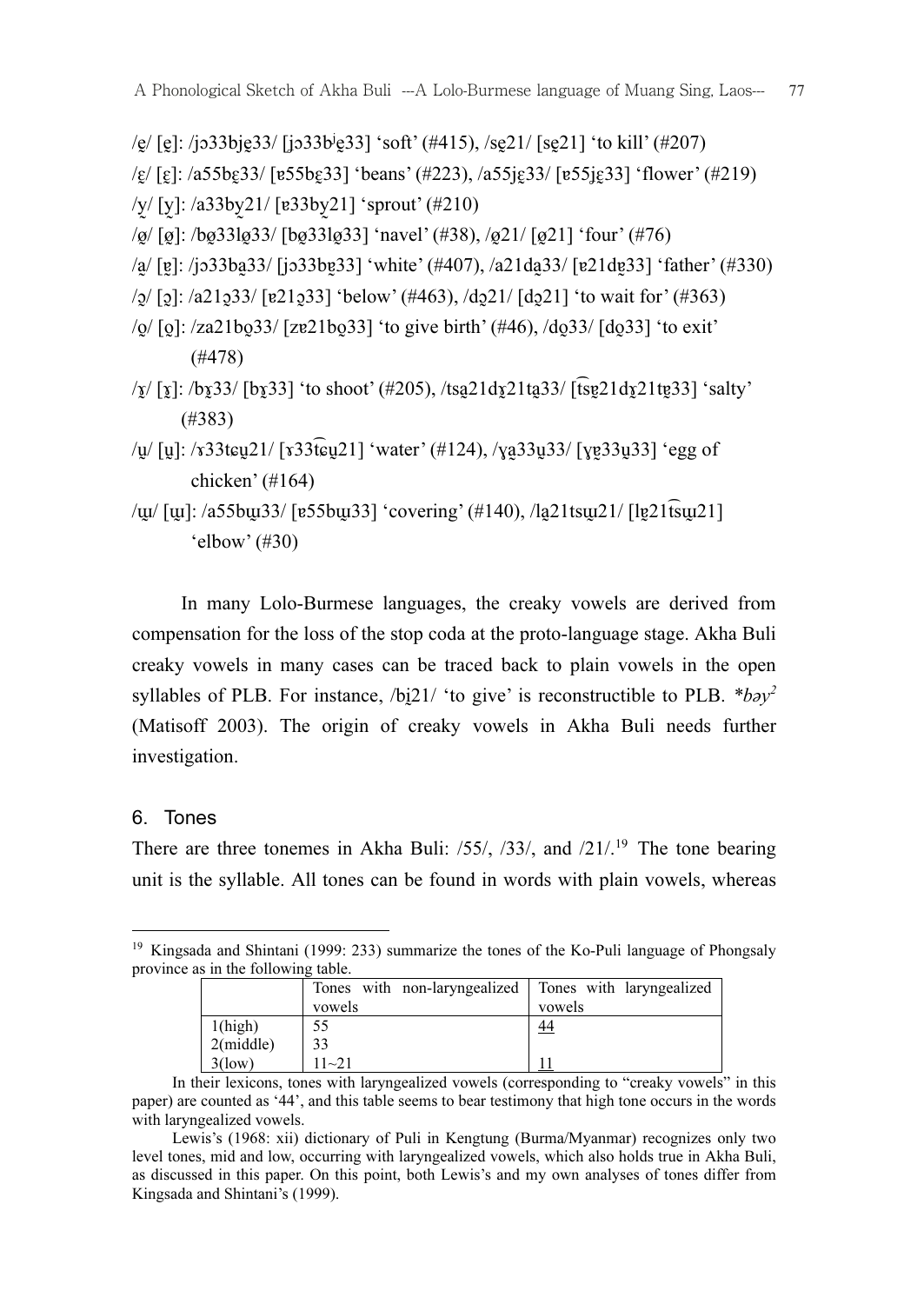/ḛ/ [ḛ]: /jɔ33bjḛ33/ [ʝɔ33b<sup>j</sup> ḛ33] 'soft' (#415), /sḛ21/ [sḛ21] 'to kill' (#207)

 $\sqrt{\varepsilon}$  [ $\varepsilon$ ]: /a55b $\varepsilon$ 33/ [ $\varepsilon$ 55b $\varepsilon$ 33] 'beans' (#223), /a55 $\varepsilon$ <sub>33</sub>/ [ $\varepsilon$ 55 $\varepsilon$  $\varepsilon$ <sub>33</sub>] 'flower' (#219)

/y̰/ [y̰]: /a33by̰21/ [ɐ33by̰21] 'sprout' (#210)

/ø̰/ [ø̰]: /bø̰33lø̰33/ [bø̰33lø̰33] 'navel' (#38), /ø̰21/ [ø̰21] 'four' (#76)

/a̰/ [ɐ̰]: /jɔ33ba̰33/ [jɔ33bɐ̰33] 'white' (#407), /a21da̰33/ [ɐ21dɐ̰33] 'father' (#330)

/ɔ̰/ [ɔ̰]: /a21ɔ̰33/ [ɐ21ɔ̰33] 'below' (#463), /dɔ̰21/ [dɔ̰21] 'to wait for' (#363)

- $\frac{1}{2}$  [ol : /za21bō33/ [zɐ21bō33] 'to give birth' (#46), /dō33/ [dō33] 'to exit' (#478)
- $\sqrt{x}$ [[x]: /bx $\frac{33}{\log 33}$  'to shoot' (#205), /tsa $\frac{21\frac{d}{21\log 21}}{\log 21\log 21}$  \text{salty} (#383)
- /u/ [u]: /x33t $\epsilon$ u21/ [x33t͡ $\epsilon$ u21] 'water' (#124), /ya33u33/ [yɐ33u33] 'egg of chicken' (#164)

/ɯ̰/ [ɯ̰]: /a55bɯ̰33/ [ɐ55bɯ̰33] 'covering' (#140), /la̰21tsɯ̰21/ [lɐ̰21t͡sɯ̰21] 'elbow' (#30)

 In many Lolo-Burmese languages, the creaky vowels are derived from compensation for the loss of the stop coda at the proto-language stage. Akha Buli creaky vowels in many cases can be traced back to plain vowels in the open syllables of PLB. For instance,  $/bi21/$  'to give' is reconstructible to PLB.  $* b\partial y^2$ (Matisoff 2003). The origin of creaky vowels in Akha Buli needs further investigation.

#### 6. Tones

There are three tonemes in Akha Buli: /55/, /33/, and /21/<sup>19</sup> The tone bearing unit is the syllable. All tones can be found in words with plain vowels, whereas

<sup>1</sup> <sup>19</sup> Kingsada and Shintani (1999: 233) summarize the tones of the Ko-Puli language of Phongsaly province as in the following table.

|              | Tones with non-laryngealized Tones with laryngealized |           |
|--------------|-------------------------------------------------------|-----------|
|              | vowels                                                | vowels    |
| 1(high)      | 55                                                    | <u>44</u> |
| $2$ (middle) | 33                                                    |           |
| $3$ (low)    | $11 - 21$                                             |           |

In their lexicons, tones with laryngealized vowels (corresponding to "creaky vowels" in this paper) are counted as '44', and this table seems to bear testimony that high tone occurs in the words with laryngealized vowels.

Lewis's (1968: xii) dictionary of Puli in Kengtung (Burma/Myanmar) recognizes only two level tones, mid and low, occurring with laryngealized vowels, which also holds true in Akha Buli, as discussed in this paper. On this point, both Lewis's and my own analyses of tones differ from Kingsada and Shintani's (1999).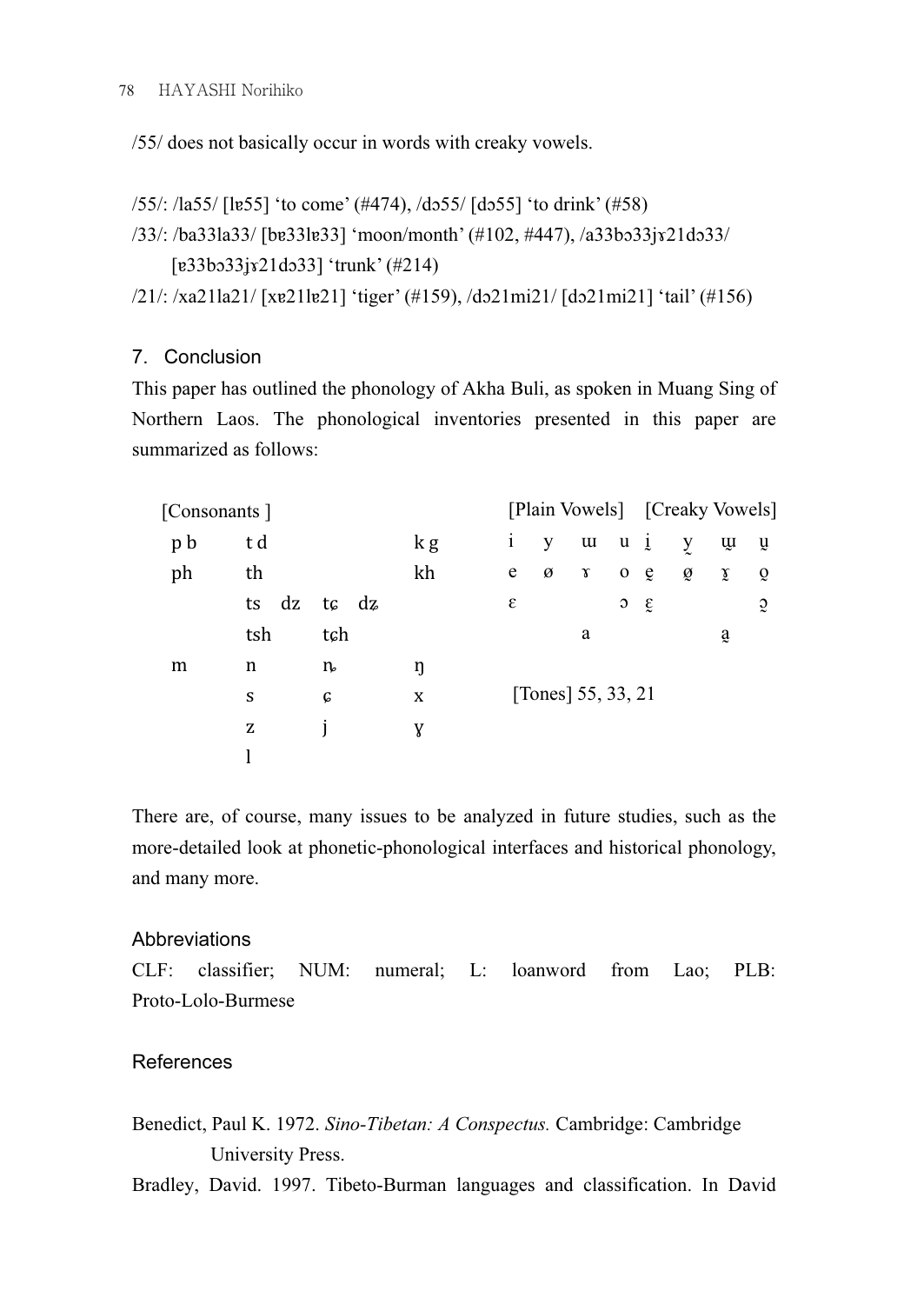/55/ does not basically occur in words with creaky vowels.

```
/55/: /la55/ [lɐ55] 'to come' (#474), /dɔ55/ [dɔ55] 'to drink' (#58) 
/33/: /ba33la33/ [bɐ33lɐ33] 'moon/month' (#102, #447), /a33bɔ33jɤ21dɔ33/ 
      [ɐ33bɔ33ʝɤ21dɔ33] 'trunk' (#214)
```

```
/21/: /xa21la21/ [xɐ21lɐ21] 'tiger' (#159), /dɔ21mi21/ [dɔ21mi21] 'tail' (#156)
```
## 7. Conclusion

This paper has outlined the phonology of Akha Buli, as spoken in Muang Sing of Northern Laos. The phonological inventories presented in this paper are summarized as follows:

| [Consonants] |     |          |               |     |              |                    |              | [Plain Vowels] [Creaky Vowels] |            |   |            |                |
|--------------|-----|----------|---------------|-----|--------------|--------------------|--------------|--------------------------------|------------|---|------------|----------------|
|              | p b | t d      |               | k g | $\mathbf{i}$ | У                  | $\mathbf{u}$ | $u_{i}$                        |            | y | щ          | ų              |
|              | ph  | th       |               | kh  | e            | ø                  | γ            | $\mathbf 0$                    | e          | ø | χ          | $\mathbf{Q}$   |
|              |     | dz<br>ts | tc dz         |     | ε            |                    |              | $\circ$                        | $\epsilon$ |   |            | $\mathfrak{D}$ |
|              |     | tsh      | tch           |     |              |                    | a            |                                |            |   | $\ddot{a}$ |                |
|              | m   | n        | $\mathfrak n$ | ŋ   |              |                    |              |                                |            |   |            |                |
|              |     | S        | C             | X   |              | [Tones] 55, 33, 21 |              |                                |            |   |            |                |
|              |     | z        |               | Y   |              |                    |              |                                |            |   |            |                |
|              |     |          |               |     |              |                    |              |                                |            |   |            |                |
|              |     |          |               |     |              |                    |              |                                |            |   |            |                |

There are, of course, many issues to be analyzed in future studies, such as the more-detailed look at phonetic-phonological interfaces and historical phonology, and many more.

## **Abbreviations**

CLF: classifier; NUM: numeral; L: loanword from Lao; PLB: Proto-Lolo-Burmese

## References

Benedict, Paul K. 1972. Sino-Tibetan: A Conspectus. Cambridge: Cambridge University Press.

Bradley, David. 1997. Tibeto-Burman languages and classification. In David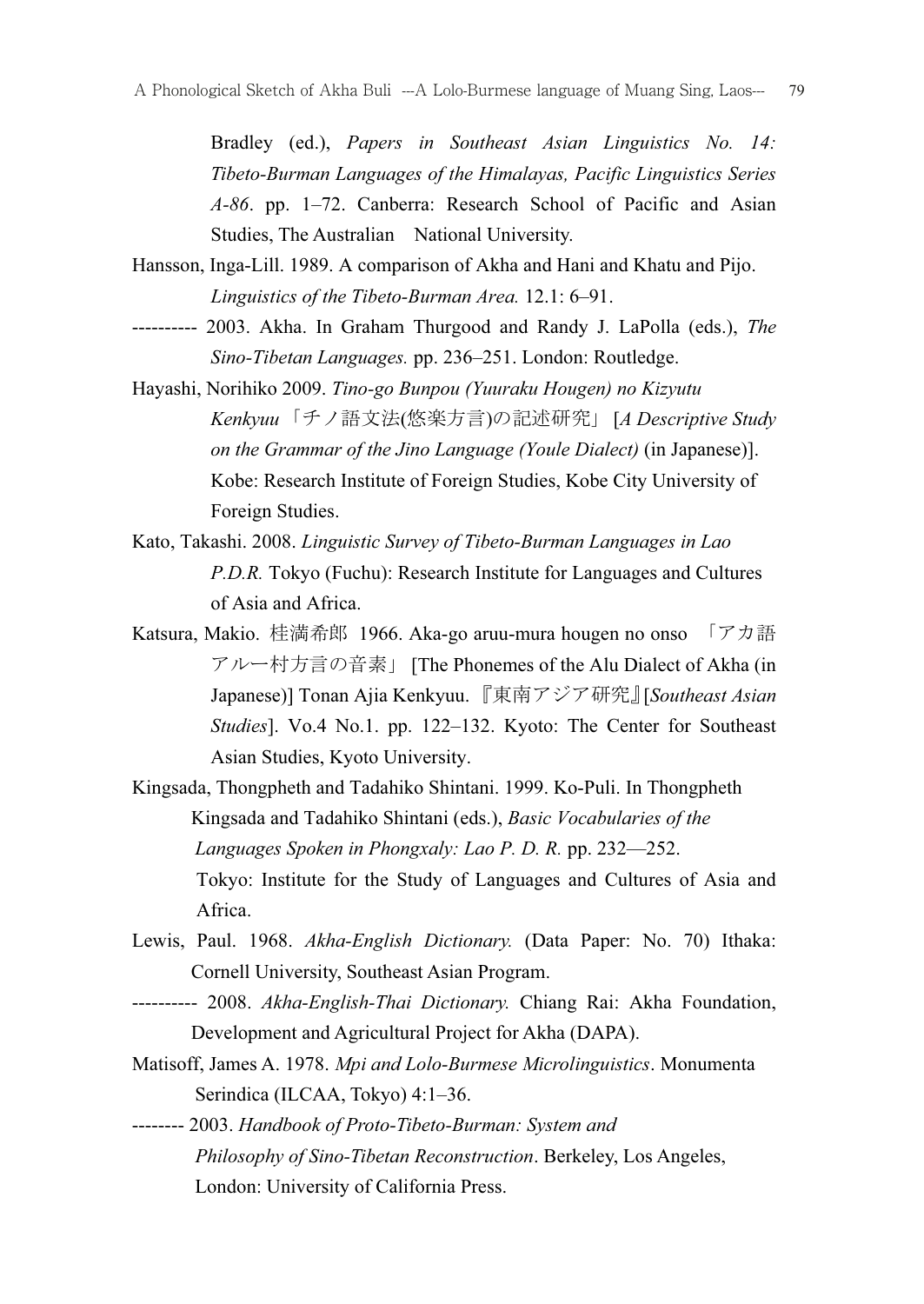Bradley (ed.), Papers in Southeast Asian Linguistics No. 14: Tibeto-Burman Languages of the Himalayas, Pacific Linguistics Series A-86. pp. 1–72. Canberra: Research School of Pacific and Asian Studies, The Australian National University.

- Hansson, Inga-Lill. 1989. A comparison of Akha and Hani and Khatu and Pijo. Linguistics of the Tibeto-Burman Area. 12.1: 6–91.
- ---------- 2003. Akha. In Graham Thurgood and Randy J. LaPolla (eds.), The Sino-Tibetan Languages. pp. 236–251. London: Routledge.
- Hayashi, Norihiko 2009. Tino-go Bunpou (Yuuraku Hougen) no Kizyutu Kenkyuu「チノ語文法(悠楽方言)の記述研究」 [A Descriptive Study on the Grammar of the Jino Language (Youle Dialect) (in Japanese)]. Kobe: Research Institute of Foreign Studies, Kobe City University of Foreign Studies.
- Kato, Takashi. 2008. Linguistic Survey of Tibeto-Burman Languages in Lao P.D.R. Tokyo (Fuchu): Research Institute for Languages and Cultures of Asia and Africa.
- Katsura, Makio. 桂満希郎 1966. Aka-go aruu-mura hougen no onso 「アカ語 アルー村方言の音素」 [The Phonemes of the Alu Dialect of Akha (in Japanese)] Tonan Ajia Kenkyuu. 『東南アジア研究』[Southeast Asian Studies]. Vo.4 No.1. pp. 122–132. Kyoto: The Center for Southeast Asian Studies, Kyoto University.
- Kingsada, Thongpheth and Tadahiko Shintani. 1999. Ko-Puli. In Thongpheth Kingsada and Tadahiko Shintani (eds.), Basic Vocabularies of the Languages Spoken in Phongxaly: Lao P. D. R. pp. 232—252. Tokyo: Institute for the Study of Languages and Cultures of Asia and Africa.
- Lewis, Paul. 1968. Akha-English Dictionary. (Data Paper: No. 70) Ithaka: Cornell University, Southeast Asian Program.
- ---------- 2008. Akha-English-Thai Dictionary. Chiang Rai: Akha Foundation, Development and Agricultural Project for Akha (DAPA).
- Matisoff, James A. 1978. Mpi and Lolo-Burmese Microlinguistics. Monumenta Serindica (ILCAA, Tokyo) 4:1–36.
- -------- 2003. Handbook of Proto-Tibeto-Burman: System and Philosophy of Sino-Tibetan Reconstruction. Berkeley, Los Angeles, London: University of California Press.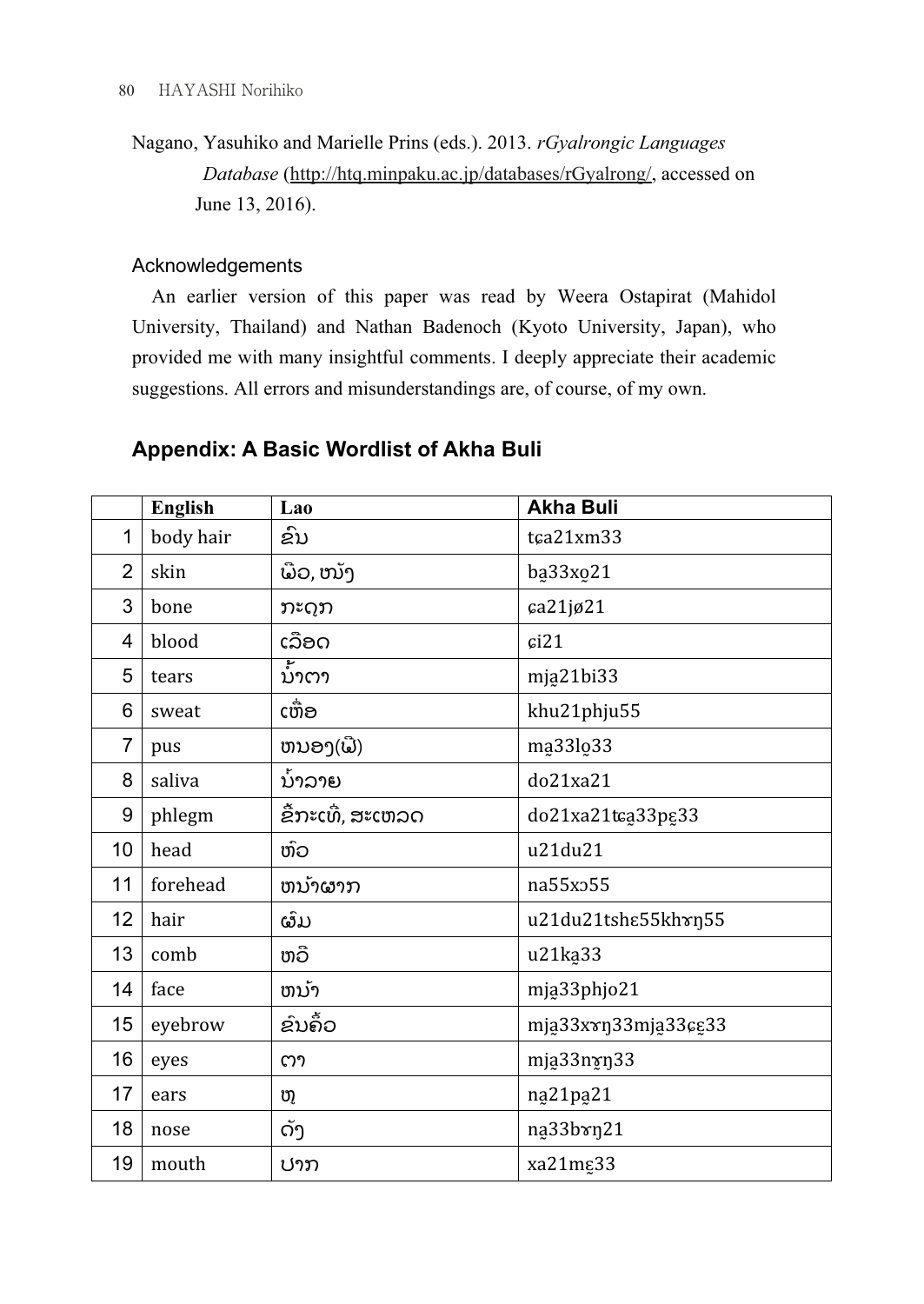Nagano, Yasuhiko and Marielle Prins (eds.). 2013. rGyalrongic Languages Database (http://htq.minpaku.ac.jp/databases/rGyalrong/, accessed on June 13, 2016).

# Acknowledgements

 An earlier version of this paper was read by Weera Ostapirat (Mahidol University, Thailand) and Nathan Badenoch (Kyoto University, Japan), who provided me with many insightful comments. I deeply appreciate their academic suggestions. All errors and misunderstandings are, of course, of my own.

# Appendix: A Basic Wordlist of Akha Buli

|                | <b>English</b> | Lao               | <b>Akha Buli</b>     |
|----------------|----------------|-------------------|----------------------|
| $\mathbf{1}$   | body hair      | ຂົນ               | tca21xm33            |
| $\overline{2}$ | skin           | ພືວ, ໜັງ          | ba33xo21             |
| 3              | bone           | ກະດຸກ             | ca21jø21             |
| 4              | blood          | ເລືອດ             | c121                 |
| 5              | tears          | ນາຕາ              | mja21bi33            |
| 6              | sweat          | ເຫ້ອ              | khu21phju55          |
| $\overline{7}$ | pus            | ຫນອງ(ພີ)          | ma33lo33             |
| 8              | saliva         | ນ້າລາຍ            | do21xa21             |
| 9              | phlegm         | ຂື້ກະເທີ່, ສະເຫລດ | do21xa21tca33pg33    |
| 10             | head           | ຫົວ               | u21du21              |
| 11             | forehead       | ຫນ້າຜາກ           | na55x <sub>255</sub> |
| 12             | hair           | ຜົມ               | u21du21tshε55khrn55  |
| 13             | comb           | ຫວື               | u21ka33              |
| 14             | face           | ຫນ້າ              | mja33phjo21          |
| 15             | eyebrow        | ຂົນຄົ້ວ           | mja33xxn33mja33cg33  |
| 16             | eyes           | ຕາ                | mja33nyŋ33           |
| 17             | ears           | ຫຼ                | na21pa21             |
| 18             | nose           | ດັງ               | na33bxn21            |
| 19             | mouth          | ປາກ               | xa21mg33             |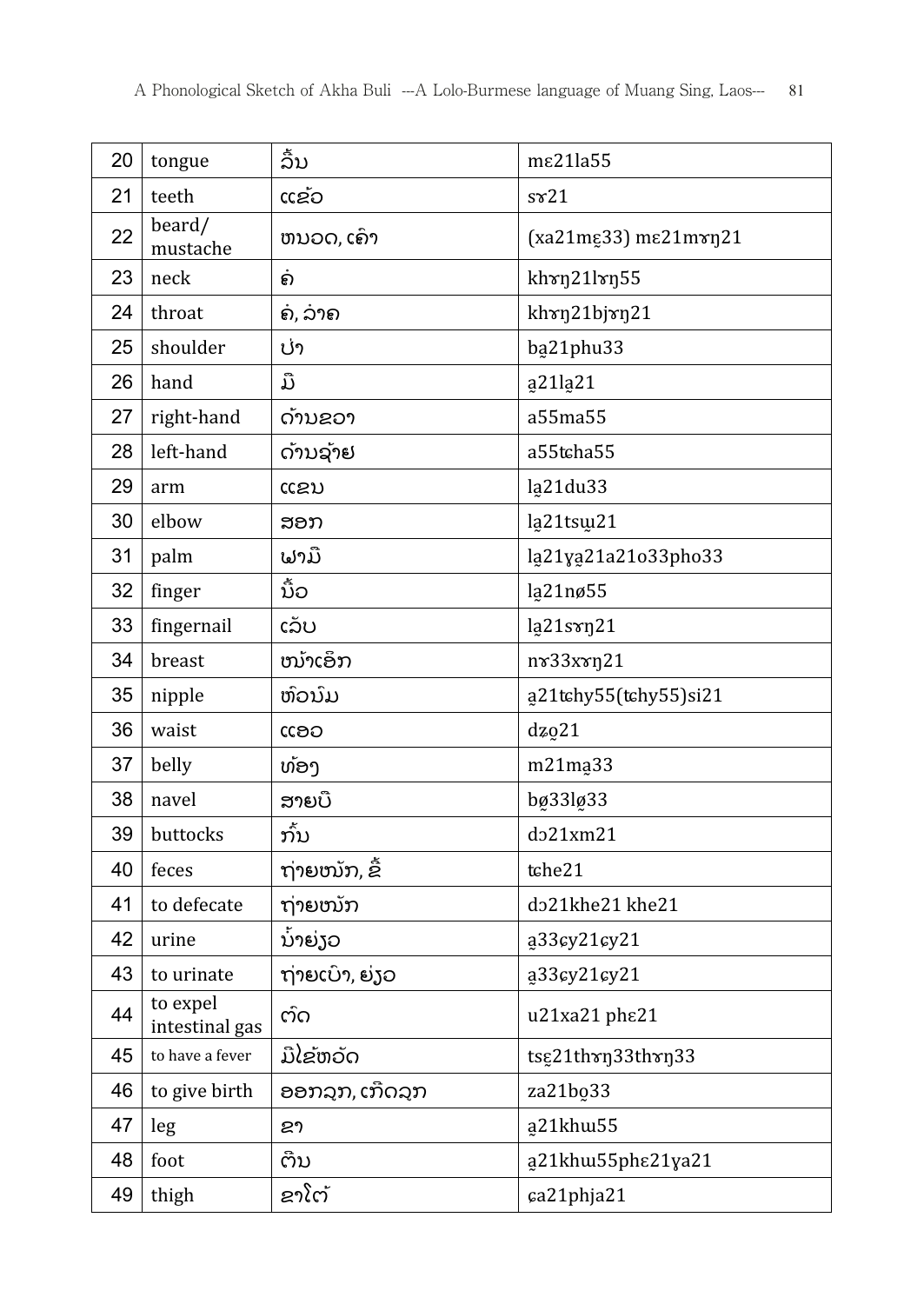| 20 | tongue                     | ລື້ນ            | m $\varepsilon$ 21la55                  |
|----|----------------------------|-----------------|-----------------------------------------|
| 21 | teeth                      | ແຂ້ວ            | $s\mathcal{r}21$                        |
| 22 | beard/<br>mustache         | ຫນວດ, ເຄົາ      | $(xa21m\xi33)$ m $\varepsilon21m\nu721$ |
| 23 | neck                       | ຄ               | khxn21lxn55                             |
| 24 | throat                     | ຄ໌, ລາຄ         | khrn21bjrn21                            |
| 25 | shoulder                   | ປ່າ             | ba21phu33                               |
| 26 | hand                       | ມື              | a <sub>21</sub> la <sub>21</sub>        |
| 27 | right-hand                 | ດ້ານຂວາ         | a55ma55                                 |
| 28 | left-hand                  | ດ້ານຊ້າຢ        | a55tcha55                               |
| 29 | arm                        | ແຂນ             | la21du33                                |
| 30 | elbow                      | ສອກ             | la21tsw21                               |
| 31 | palm                       | ຟາມື            | la21ya21a21o33pho33                     |
| 32 | finger                     | ນ້ໍວ            | la21nø55                                |
| 33 | fingernail                 | ເລັບ            | la21sxn21                               |
| 34 | breast                     | ໜ້າເອິກ         | nv33xvn21                               |
| 35 | nipple                     | ຫົວນົມ          | a21tchy55(tchy55)si21                   |
| 36 | waist                      | ແອວ             | $dz_0$ 21                               |
| 37 | belly                      | ທ້ອງ            | m21ma <sub>33</sub>                     |
| 38 | navel                      | ສາຍບື           | bø33lø33                                |
| 39 | buttocks                   | ກັ້ນ            | do21xm21                                |
| 40 | feces                      | ຖ່າຍໜັກ, ຂ້     | tche21                                  |
| 41 | to defecate                | ຖ່າຍໜັກ         | do21khe21 khe21                         |
| 42 | urine                      | ນ້ໍາຍ່ຽວ        | a33cy21cy21                             |
| 43 | to urinate                 | ຖ່າຍເບົາ, ຍ່ງວ  | a33cy21cy21                             |
| 44 | to expel<br>intestinal gas | ຕົດ             | u21xa21 phε21                           |
| 45 | to have a fever            | ມີໄຂ້ຫວັດ       | tsg21thxn33thxn33                       |
| 46 | to give birth              | ອອກລຸກ, ເກີດລຸກ | za21bo <sub>33</sub>                    |
| 47 | leg                        | ຂາ              | a21khw55                                |
| 48 | foot                       | ຕີນ             | a21khw55phε21ya21                       |
| 49 | thigh                      | ຂາໂຕ້           | ca21phja21                              |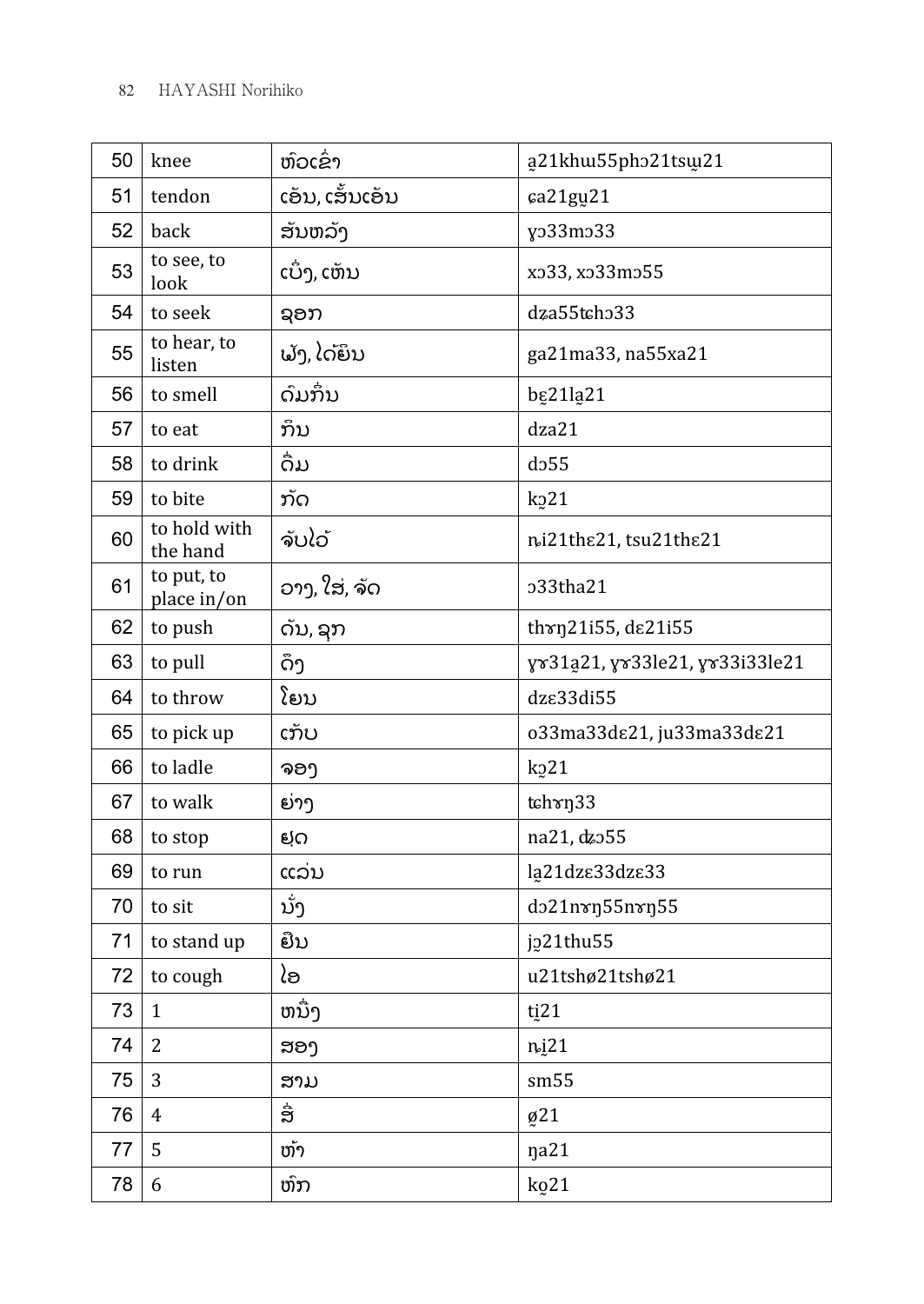| 50 | knee                      | ຫົວເຂົ່າ        | a21khu55pho21tsu21             |
|----|---------------------------|-----------------|--------------------------------|
| 51 | tendon                    | ເອັນ, ເສັ້ນເອັນ | ca21gu21                       |
| 52 | back                      | ສັນຫລັງ         | yo33mo33                       |
| 53 | to see, to<br>look        | ເບົ່າ, ເຫັນ     | xo33, xo33mo55                 |
| 54 | to seek                   | ຊອກ             | dza55tcho33                    |
| 55 | to hear, to<br>listen     | ຟັງ, ໄດ້ຍຶນ     | ga21ma33, na55xa21             |
| 56 | to smell                  | ດົມກຶ່ນ         | <b>b</b> g21la21               |
| 57 | to eat                    | ກິນ             | dza21                          |
| 58 | to drink                  | ດໍມ             | d <sub>255</sub>               |
| 59 | to bite                   | ກັດ             | k <sub>2</sub> 21              |
| 60 | to hold with<br>the hand  | ຈັບໄວ້          | ni21the21, tsu21the21          |
| 61 | to put, to<br>place in/on | ວາງ, ໃສ່, ຈັດ   | o33tha21                       |
| 62 | to push                   | ດັນ, ຊກ         | thrn21i55, de21i55             |
| 63 | to pull                   | ດຶງ             | yv31a21, yv33le21, yv33i33le21 |
| 64 | to throw                  | ໂຍນ             | dz $\epsilon$ 33di55           |
| 65 | to pick up                | ເກັບ            | o33ma33dε21, ju33ma33dε21      |
| 66 | to ladle                  | ຈອງ             | k <sub>2</sub> 21              |
| 67 | to walk                   | ຍ່າງ            | tch rn33                       |
| 68 | to stop                   | ຢຸດ             | na21, dzo55                    |
| 69 | to run                    | ແລ່ນ            | la21dzε33dzε33                 |
| 70 | to sit                    | ນັ່ງ            | do21nvn55nvn55                 |
| 71 | to stand up               | ຍືນ             | j221thu55                      |
| 72 | to cough                  | ໄອ              | u21tshø21tshø21                |
| 73 | $\mathbf{1}$              | ຫນື່ງ           | ti <sub>21</sub>               |
| 74 | $\overline{2}$            | ສອງ             | n <sub>i</sub> 21              |
| 75 | 3                         | ສາມ             | sm55                           |
| 76 | $\overline{4}$            | ື່ສ             | Ø21                            |
| 77 | 5                         | ຫ້າ             | ŋa21                           |
| 78 | $\boldsymbol{6}$          | ຫົກ             | k <sub>0</sub> 21              |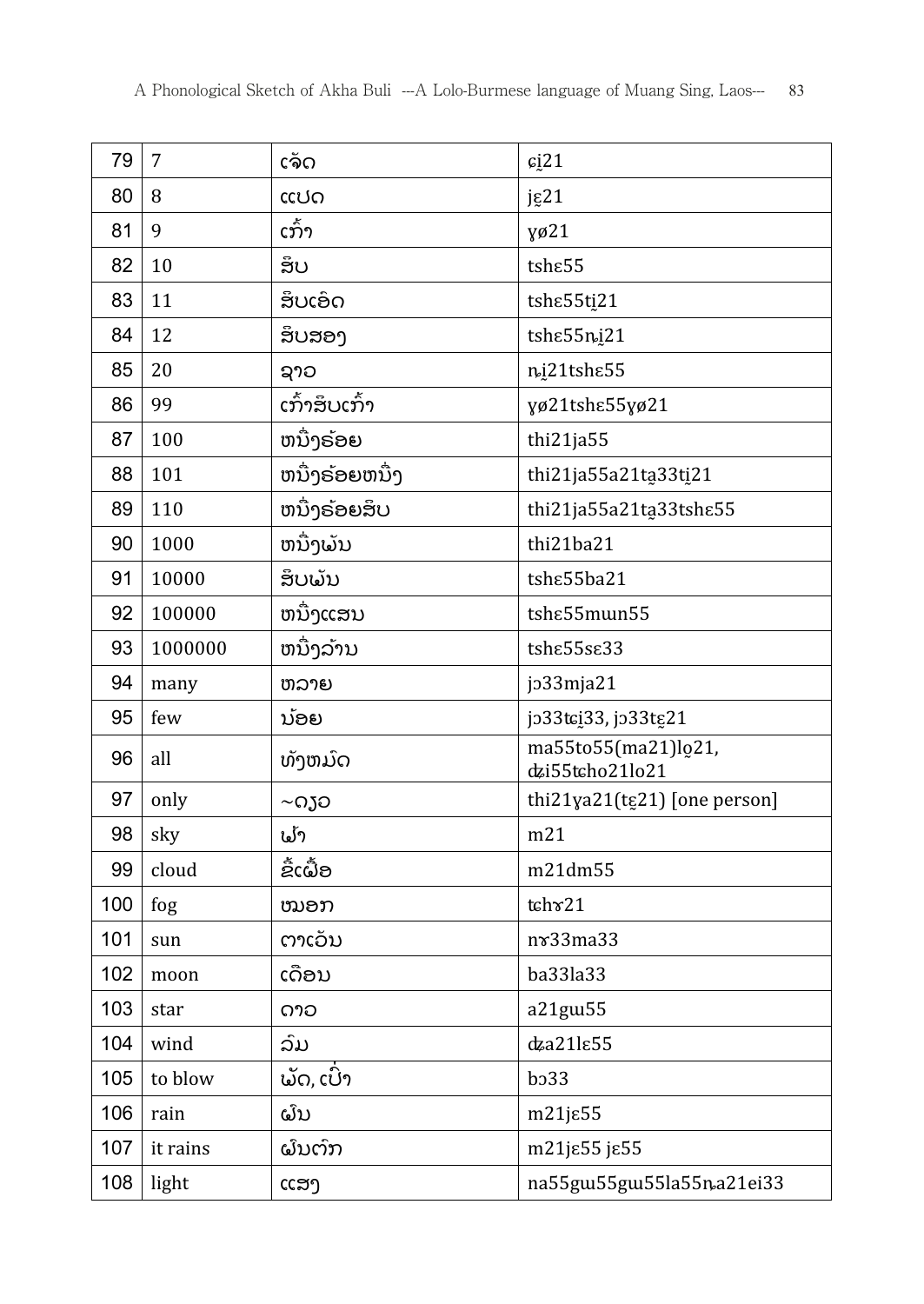| 79  | $\overline{7}$ | ເຈັດ           | c <sub>i</sub> 21                      |
|-----|----------------|----------------|----------------------------------------|
| 80  | 8              | ແປດ            | $j\epsilon$ 21                         |
| 81  | 9              | ເກົ້າ          | yø21                                   |
| 82  | 10             | ສຶບ            | tsh <sub>ε55</sub>                     |
| 83  | 11             | ສຶບເອົດ        | tshe55ti21                             |
| 84  | 12             | ສຶບສອງ         | tshe55ni21                             |
| 85  | 20             | ຊາວ            | ni21tshe55                             |
| 86  | 99             | ເກົ້າສຶບເກົ້າ  | γø21tshε55γø21                         |
| 87  | 100            | ຫນື່ງຣ້ອຍ      | thi21ja55                              |
| 88  | 101            | ຫນື່ງຣ້ອຍຫນື່ງ | thi21ja55a21ta33ti21                   |
| 89  | 110            | ຫນົງຣ໌ອຍສິບ    | thi21ja55a21ta33tshε55                 |
| 90  | 1000           | ຫນຶ່ງພັນ       | thi21ba21                              |
| 91  | 10000          | ສຶບພັນ         | tshe55ba21                             |
| 92  | 100000         | ຫນື່ງແສນ       | tshe55mun55                            |
| 93  | 1000000        | ຫນື່ງລ້ານ      | tshe55se33                             |
| 94  | many           | ຫລາຍ           | jo33mja21                              |
| 95  | few            | ນ້ອຍ           | jo33tci33, jo33tg21                    |
| 96  | all            | ທັງຫມົດ        | ma55to55(ma21)lo21,<br>dzi55tcho21lo21 |
| 97  | only           | ∼ດຽວ           | thi21ya21(tg21) [one person]           |
| 98  | sky            | ຟ້າ            | m21                                    |
| 99  | cloud          | ຂໍ້ເຝົ້ອ       | m21dm55                                |
| 100 | fog            | ໝອກ            | tch x 21                               |
| 101 | sun            | ຕາເວັນ         | $n\mathbf{\hat{z}}33ma33$              |
| 102 | moon           | ເດືອນ          | ba33la33                               |
| 103 | star           | ດາວ            | a21gw55                                |
| 104 | wind           | ລົມ            | $dz$ a21 $l$ e55                       |
| 105 | to blow        | ພັດ, ເປົົາ     | b <sub>0</sub> 33                      |
| 106 | rain           | ຝົນ            | $m21j\epsilon55$                       |
| 107 | it rains       | ຝົນຕົກ         | m21jε55 jε55                           |
| 108 | light          | ແສງ            | na55gw55gw55la55na21ei33               |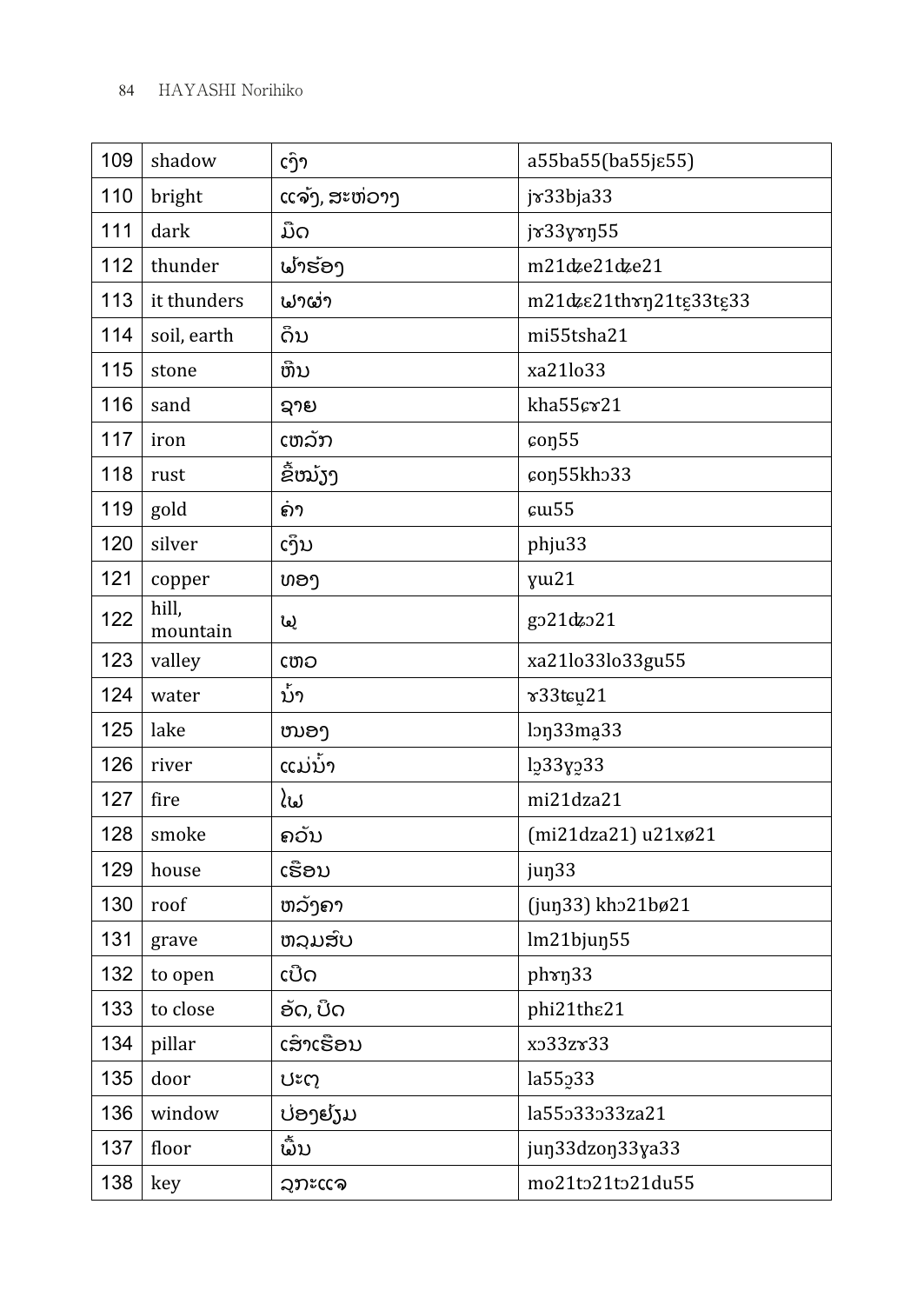| 109 | shadow            | ເງົາ          | a55ba55(ba55jε55)                 |
|-----|-------------------|---------------|-----------------------------------|
| 110 | bright            | ແຈ້ງ, ສະຫ່ວາງ | jv33bja33                         |
| 111 | dark              | ມືດ           | jx33yxn55                         |
| 112 | thunder           | ຟາຮ່ອງ        | m21dze21dze21                     |
| 113 | it thunders       | ຟາຜ່າ         | m21dzε21th τη 21tε33tε33          |
| 114 | soil, earth       | ດິນ           | mi55tsha21                        |
| 115 | stone             | ຫີນ           | xa21lo33                          |
| 116 | sand              | ຊາຍ           | kha55cr21                         |
| 117 | iron              | ເຫລັກ         | $\cos 55$                         |
| 118 | rust              | ຂື້ໝັງງ       | con55kho33                        |
| 119 | gold              | ຄາ            | $\mathfrak{c}$ u55                |
| 120 | silver            | ເງິນ          | phju33                            |
| 121 | copper            | ທອງ           | yw21                              |
| 122 | hill,<br>mountain | (ما           | go21dzo21                         |
| 123 | valley            | ເຫວ           | xa21lo33lo33gu55                  |
| 124 | water             | ນ້າ           | v33tcu21                          |
| 125 | lake              | ໜອງ           | ln <sub>33</sub> ma <sub>33</sub> |
| 126 | river             | ແມ່ນ້ໍາ       | $lg33y_233$                       |
| 127 | fire              | ໄຟ            | mi21dza21                         |
| 128 | smoke             | ຄວັນ          | (mi21dza21) u21xø21               |
| 129 | house             | ເຮືອນ         | jun <sub>33</sub>                 |
| 130 | roof              | ຫລັງຄາ        | (jun33) kho21bø21                 |
| 131 | grave             | ຫລມສົບ        | lm21bjun55                        |
| 132 | to open           | ເປີດ          | phrn33                            |
| 133 | to close          | ອັດ, ບິດ      | phi21the21                        |
| 134 | pillar            | ເສົາເຮືອນ     | xo33zv33                          |
| 135 | door              | ປະຕ           | la55233                           |
| 136 | window            | ປ່ອງຍຸ້ງມ     | la55o33o33za21                    |
| 137 | floor             | ໍຜົ້ນ         | jun33dzon33ya33                   |
| 138 | key               | ລຸກະແຈ        | mo21to21to21du55                  |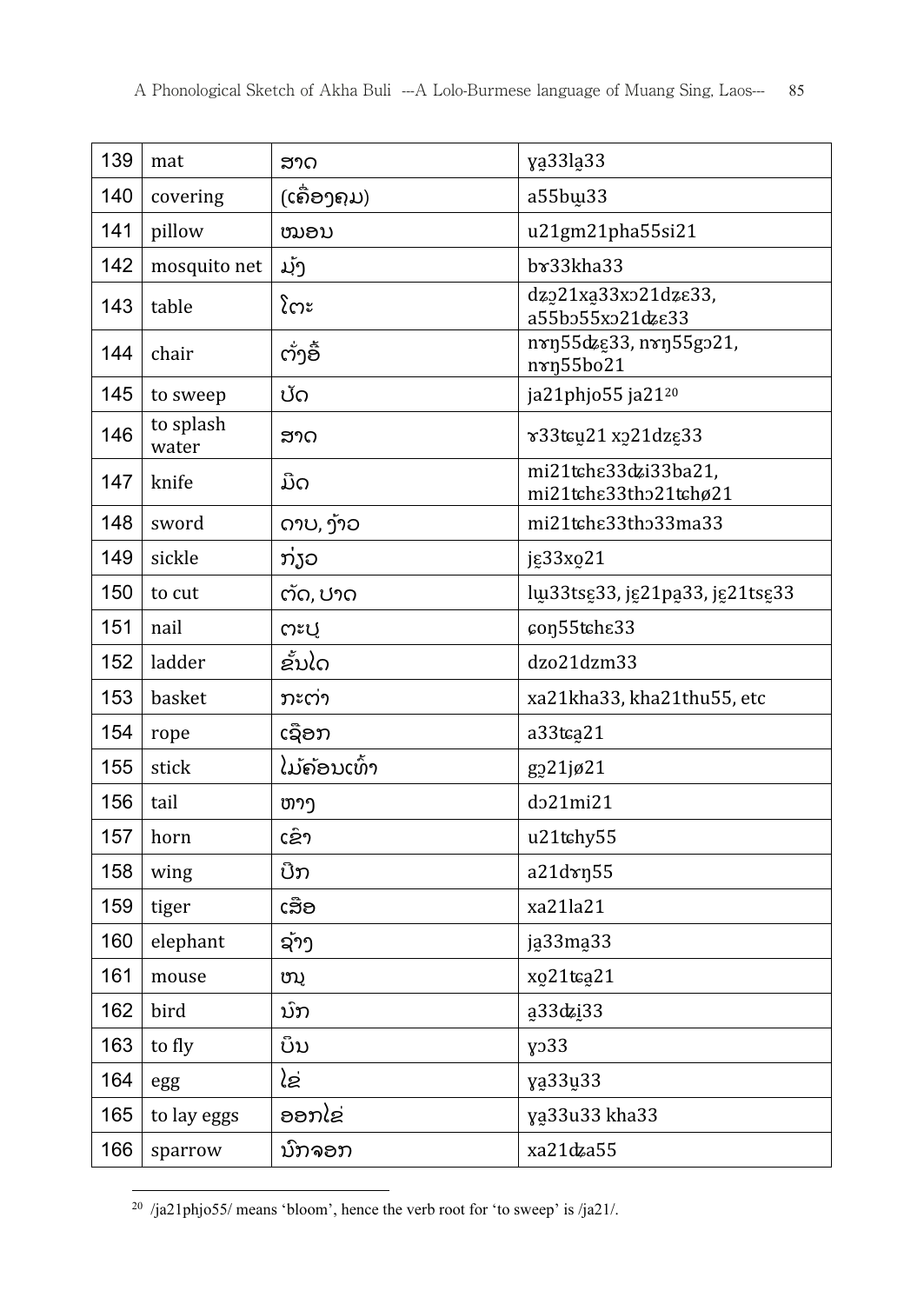| 139 | mat                | ສາດ          | ya33la33                                      |
|-----|--------------------|--------------|-----------------------------------------------|
| 140 | covering           | (ເຄື່ອງຄຸມ)  | a55bw33                                       |
| 141 | pillow             | ໝອນ          | u21gm21pha55si21                              |
| 142 | mosquito net       | ມັງ          | $b$ $x33kha33$                                |
| 143 | table              | ໂຕະ          | dzo21xa33xo21dze33,<br>a55bo55xo21dzε33       |
| 144 | chair              | ຕັ່ງອື້      | nvn55dzg33, nvn55go21,<br>nxn55bo21           |
| 145 | to sweep           | ປັດ          | ja21phjo55 ja21 <sup>20</sup>                 |
| 146 | to splash<br>water | ສາດ          | v33tcu21 x221dzg33                            |
| 147 | knife              | ມີດ          | mi21tchε33dzi33ba21,<br>mi21tche33tho21tchø21 |
| 148 | sword              | ດາບ, ງ້າວ    | mi21tche33tho33ma33                           |
| 149 | sickle             | ກ່ຽວ         | jg33xo21                                      |
| 150 | to cut             | ຕັດ, ປາດ     | lu33tsg33, jg21pa33, jg21tsg33                |
| 151 | nail               | ຕະປ          | con55tche33                                   |
| 152 | ladder             | ຂັ້ນໄດ       | dzo21dzm33                                    |
| 153 | basket             | ກະຕ່າ        | xa21kha33, kha21thu55, etc                    |
| 154 | rope               | ເຊືອກ        | a33tca21                                      |
| 155 | stick              | ໄມ້ຄ້ອນເທົ້າ | g221jø21                                      |
| 156 | tail               | ຫາງ          | do21mi21                                      |
| 157 | horn               | ເຂົາ         | u21tchy55                                     |
| 158 | wing               | ປີກ          | a21dxn55                                      |
| 159 | tiger              | ເສືອ         | xa21la21                                      |
| 160 | elephant           | ຊັາງ         | ja33ma33                                      |
| 161 | mouse              | ໜູ           | xo21tca21                                     |
| 162 | bird               | ນົກ          | a33dzi33                                      |
| 163 | to fly             | ບິນ          | y <sub>0</sub> 33                             |
| 164 | egg                | ໄຂ່          | ya33u33                                       |
| 165 | to lay eggs        | ອອກໄຂ່       | ya33u33 kha33                                 |
| 166 | sparrow            | ນົກຈອກ       | xa21dza55                                     |

 $\overline{a}$  $^{20}$  /ja21phjo55/ means 'bloom', hence the verb root for 'to sweep' is /ja21/.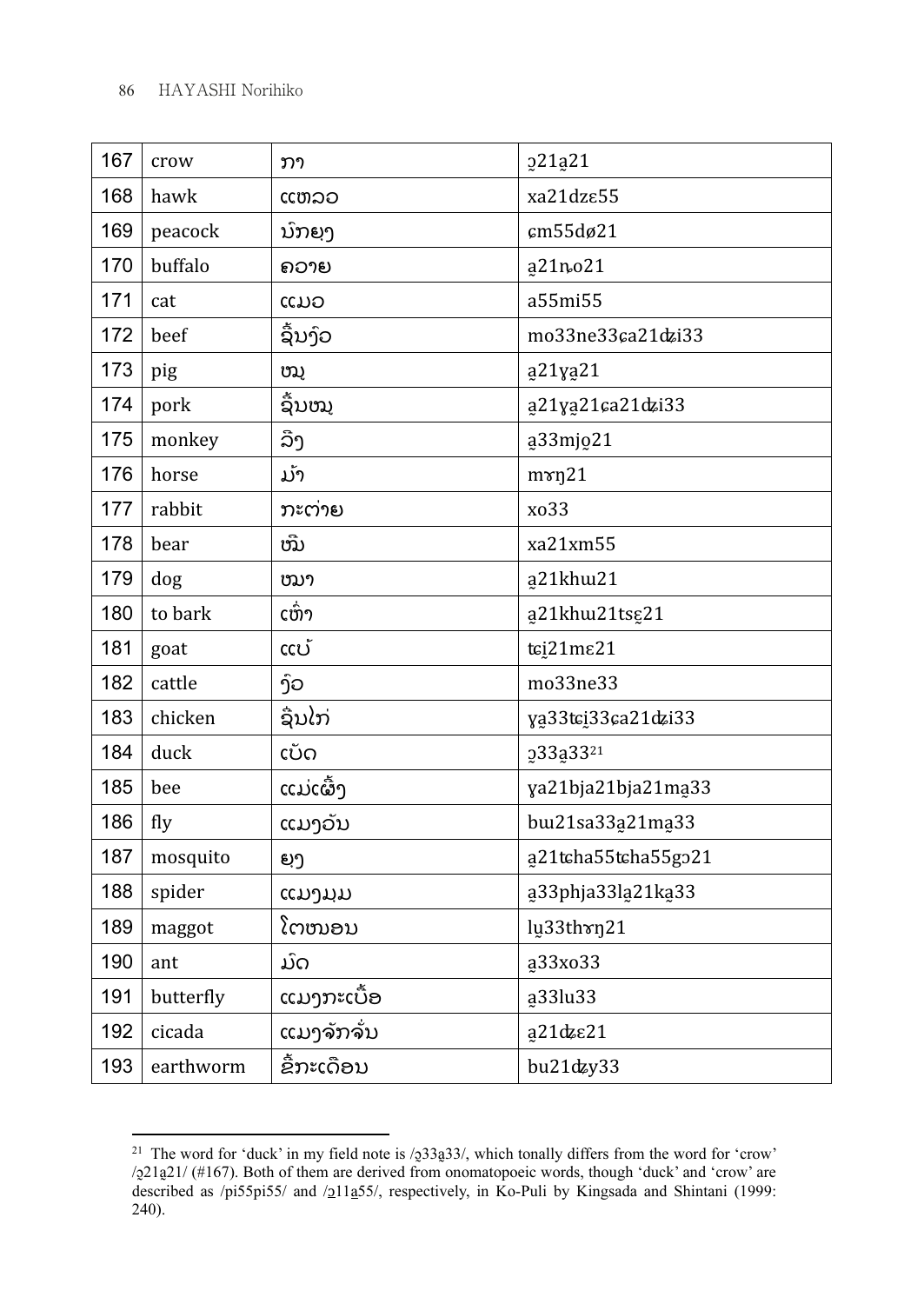| 167 | crow      | ກາ         | o21a21               |
|-----|-----------|------------|----------------------|
| 168 | hawk      | ແຫລວ       | xa21dz $\epsilon$ 55 |
| 169 | peacock   | ນົກຍຸງ     | cm55dø21             |
| 170 | buffalo   | ຄວາຍ       | a21no21              |
| 171 | cat       | ແມວ        | a55mi55              |
| 172 | beef      | ຊື່ນງົວ    | mo33ne33ca21dzi33    |
| 173 | pig       | ໝູ         | ą21yą21              |
| 174 | pork      | ຊົ້ນໝຸ     | a21ya21ca21dzi33     |
| 175 | monkey    | ລີງ        | ą33mjo21             |
| 176 | horse     | ມັາ        | $m\gamma$ n21        |
| 177 | rabbit    | ກະຕ່າຍ     | xo33                 |
| 178 | bear      | ໝີ່        | xa21xm55             |
| 179 | dog       | ໝາ         | a21khw21             |
| 180 | to bark   | ເຫົ່າ      | a21khw21tsg21        |
| 181 | goat      | ແບ້        | tci21me21            |
| 182 | cattle    | ງົວ        | mo33ne33             |
| 183 | chicken   | ຊີນໄກ່     | ya33tci33ca21dzi33   |
| 184 | duck      | ເບັດ       | 233a33 <sup>21</sup> |
| 185 | bee       | ແມ່ເຜົ້ງ   | ya21bja21bja21ma33   |
| 186 | fly       | ແມງວັນ     | bw21sa33a21ma33      |
| 187 | mosquito  | ຍຸງ        | a21tcha55tcha55go21  |
| 188 | spider    | ແມງມຸມ     | a33phja33la21ka33    |
| 189 | maggot    | ໂຕໜອນ      | lu33thrn21           |
| 190 | ant       | ມົດ        | ą33xo33              |
| 191 | butterfly | ແມງກະເບື້ອ | a33lu33              |
| 192 | cicada    | ແມງຈັກຈັ່ນ | a21dzε21             |
| 193 | earthworm | ຂໍ້ກະເດືອນ | bu21dzy33            |

<sup>21</sup> The word for 'duck' in my field note is  $/233a33/$ , which tonally differs from the word for 'crow' /ɔ̰21a̰21/ (#167). Both of them are derived from onomatopoeic words, though 'duck' and 'crow' are described as /pi55pi55/ and /<u>o</u>11a55/, respectively, in Ko-Puli by Kingsada and Shintani (1999: 240).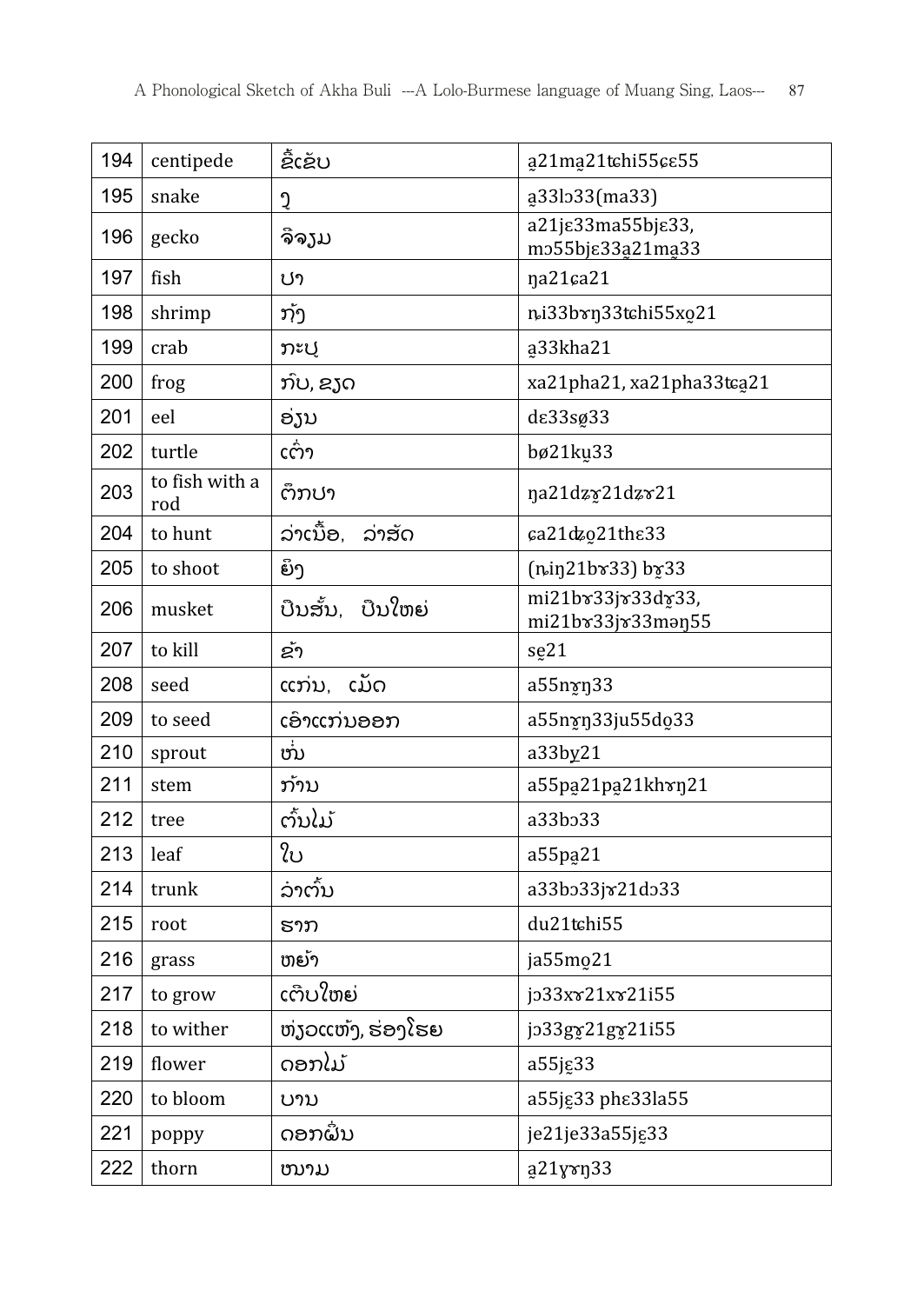| 194 | centipede             | ຂໍ້ເຂັບ             | a21ma21tchi55ce55                                |
|-----|-----------------------|---------------------|--------------------------------------------------|
| 195 | snake                 | Ĵ                   | a33lo33(ma33)                                    |
| 196 | gecko                 | ຈີຈງມ               | a21jε33ma55bjε33,<br>m255bj $\epsilon$ 33a21ma33 |
| 197 | fish                  | ປາ                  | na21ca21                                         |
| 198 | shrimp                | ກັງ                 | ni33brn33tchi55xo21                              |
| 199 | crab                  | ກະປູ                | a33kha21                                         |
| 200 | frog                  | ກົບ, ຂຽດ            | xa21pha21, xa21pha33tca21                        |
| 201 | eel                   | ອງນ                 | de33sø33                                         |
| 202 | turtle                | ເຕົ່າ               | bø21ku33                                         |
| 203 | to fish with a<br>rod | ຕຶກປາ               | na21dzy21dzv21                                   |
| 204 | to hunt               | ລ່າເນື້ອ,<br>ລ່າສັດ | ca21dzo21the33                                   |
| 205 | to shoot              | ຍິງ                 | $(ni)21b$ r33) $b$ r33                           |
| 206 | musket                | ບືນສັ້ນ, ບືນໃຫຍ່    | mi21br33jr33dr33,<br>mi21bv33jv33man55           |
| 207 | to kill               | ຂັ້າ                | se <sub>21</sub>                                 |
| 208 | seed                  | ແກ່ນ, ເມັດ          | a55nxn33                                         |
| 209 | to seed               | ເອົາແກ່ນອອກ         | a55nxn33ju55do33                                 |
| 210 | sprout                | ໜ                   | a33by21                                          |
| 211 | stem                  | ກ້ານ                | a55pa21pa21khvn21                                |
| 212 | tree                  | ຕົ້ນໄມ້             | a33b <sub>33</sub>                               |
| 213 | leaf                  | ໃບ                  | a55pa <sub>21</sub>                              |
| 214 | trunk                 | ລ່າຕົ້ນ             | a33bo33jx21do33                                  |
| 215 | root                  | ຮາກ                 | du21tchi55                                       |
| 216 | grass                 | ຫຍັາ                | ja55mo21                                         |
| 217 | to grow               | ເຕີບໃຫຍ່            | jo33xx21xx21i55                                  |
| 218 | to wither             | ຫ່ງວແຫ້ງ, ຮ່ອງໂຮຍ   | jo33gy21gy21i55                                  |
| 219 | flower                | ດອກໄມ້              | a55jg33                                          |
| 220 | to bloom              | ບານ                 | a55jg33 phe33la55                                |
| 221 | poppy                 | ດອກຝັ່ນ             | je21je33a55jg33                                  |
| 222 | thorn                 | ໜາມ                 | a21yvn33                                         |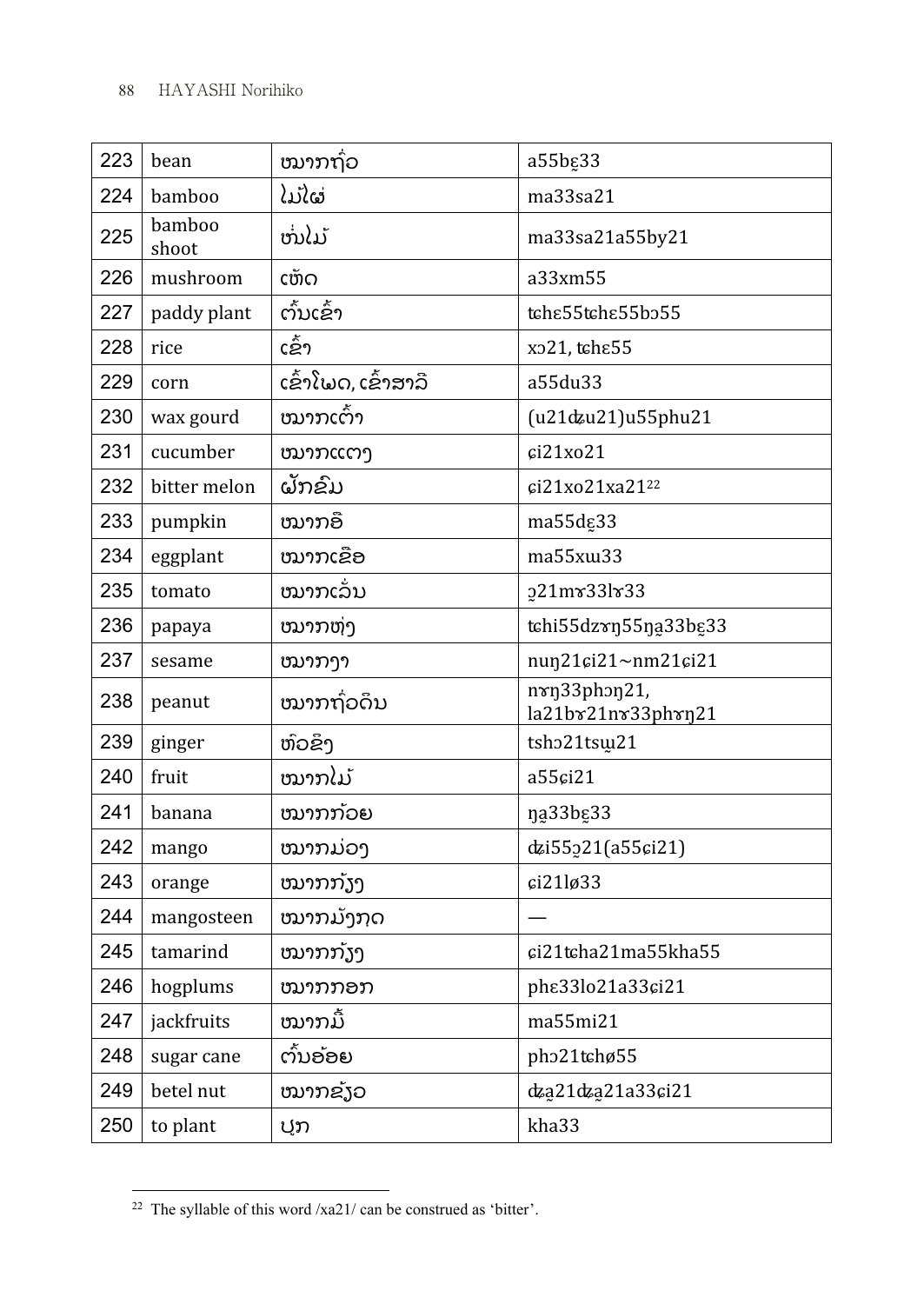| 223 | bean            | ໝາກຖົ່ວ             | a55bg33                            |
|-----|-----------------|---------------------|------------------------------------|
| 224 | bamboo          | ໄມ້ໄຜ່              | ma33sa21                           |
| 225 | bamboo<br>shoot | ໜ່ໄມ້               | ma33sa21a55by21                    |
| 226 | mushroom        | ເຫັດ                | a33xm55                            |
| 227 | paddy plant     | ຕົ້ນເຂົ້າ           | tche55tche55bo55                   |
| 228 | rice            | ເຂົ້າ               | xo21, tche55                       |
| 229 | corn            | ເຂົ້າໂພດ, ເຂົ້າສາລີ | a55du33                            |
| 230 | wax gourd       | ໝາກເຕົ້າ            | (u21dzu21)u55phu21                 |
| 231 | cucumber        | ໝາກແຕງ              | ci21xo21                           |
| 232 | bitter melon    | ຝັກຂົມ              | ci21xo21xa21 <sup>22</sup>         |
| 233 | pumpkin         | ໝາກອື               | ma55dg33                           |
| 234 | eggplant        | ໝາກເຂືອ             | ma55xw33                           |
| 235 | tomato          | ໝາກເລັ່ນ            | p21mv33lv33                        |
| 236 | papaya          | ໝາກຫ່າ              | tchi55dzxn55na33bg33               |
| 237 | sesame          | ໝາກງາ               | nun21ci21~nm21ci21                 |
| 238 | peanut          | ໝາກຖົວດຶນ           | nxn33phon21,<br>la21bx21nx33phxn21 |
| 239 | ginger          | ຫົວຂຶ້ງ             | tsho21tsw21                        |
| 240 | fruit           | ໝາກໄມ້              | a55ci21                            |
| 241 | banana          | ໝາກກ້ວຍ             | na33bg33                           |
| 242 | mango           | ໝາກມ່ວງ             | dzi55221(a55ci21)                  |
| 243 | orange          | ໝາກກັງງ             | ci21lg33                           |
| 244 | mangosteen      | ໝາກມັງກຸດ           |                                    |
| 245 | tamarind        | ໝາກກັງງ             | ci21tcha21ma55kha55                |
| 246 | hogplums        | ໝາກກອກ              | phe33lo21a33ci21                   |
| 247 | jackfruits      | ໝາກມື້              | ma55mi21                           |
| 248 | sugar cane      | ຕົ້ນອ້ອຍ            | pho21tchø55                        |
| 249 | betel nut       | ໝາກຂັງວ             | dza21dza21a33ci21                  |
| 250 | to plant        | ປູກ                 | kha33                              |

<sup>&</sup>lt;sup>22</sup> The syllable of this word /xa21/ can be construed as 'bitter'.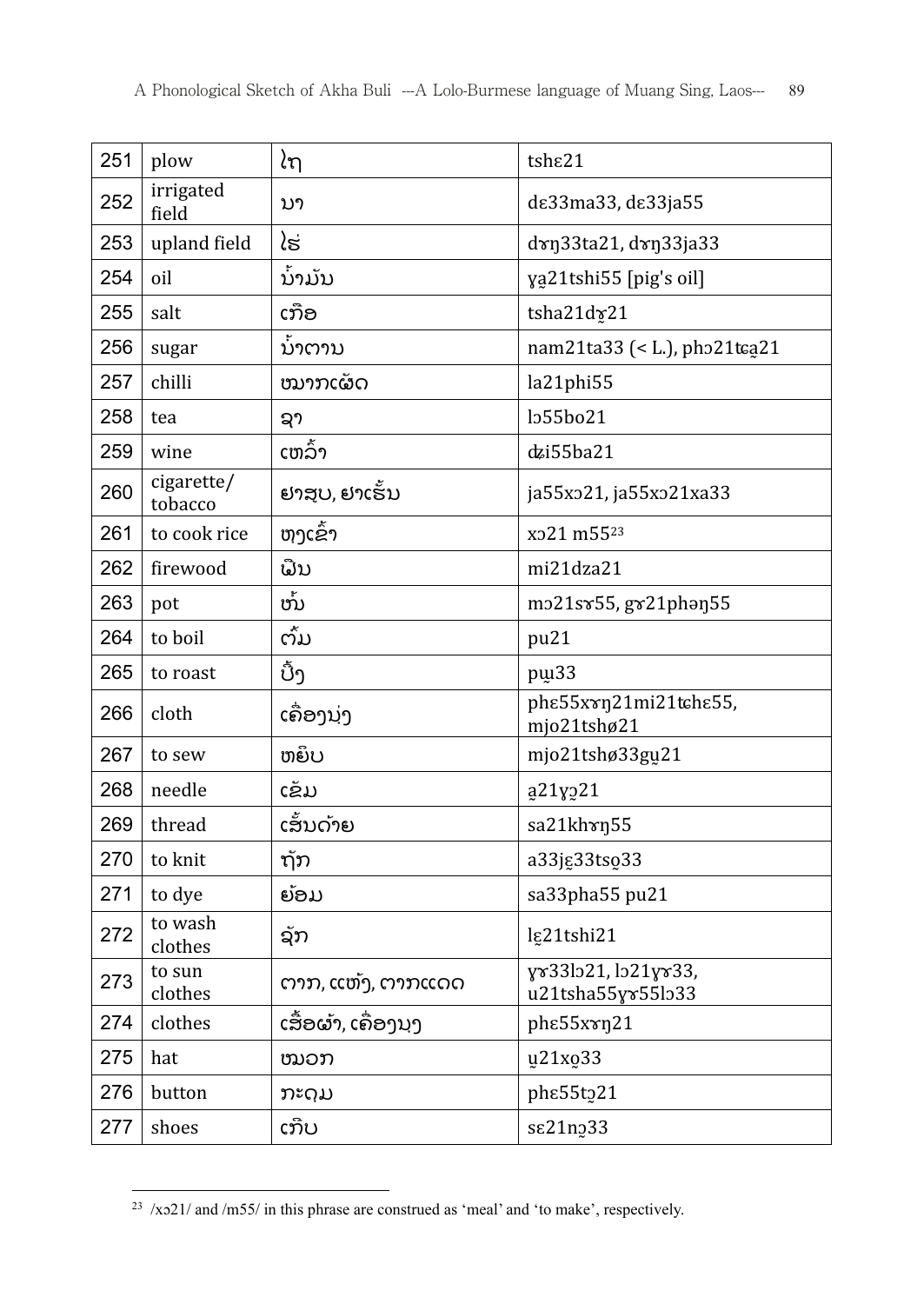| 251 | plow                  | ໄຖ                  | tshe21                                   |
|-----|-----------------------|---------------------|------------------------------------------|
| 252 | irrigated<br>field    | ນາ                  | de33ma33, de33ja55                       |
| 253 | upland field          | ໄຮ່                 | dxn33ta21, dxn33ja33                     |
| 254 | oil                   | ນ້າມັນ              | ya21tshi55 [pig's oil]                   |
| 255 | salt                  | ເກືອ                | tsha21dx21                               |
| 256 | sugar                 | ນ້າຕານ              | nam21ta33 (< L.), pho21tca21             |
| 257 | chilli                | ໝາກເຜັດ             | la21phi55                                |
| 258 | tea                   | ຊາ                  | lo55bo21                                 |
| 259 | wine                  | ເຫລົ້າ              | dzi55ba21                                |
| 260 | cigarette/<br>tobacco | ຢາສບ, ຢາເຮັ້ນ       | ja55x221, ja55x221xa33                   |
| 261 | to cook rice          | ຫງເຂົ້າ             | xo21 m5523                               |
| 262 | firewood              | ພື້ນ                | mi21dza21                                |
| 263 | pot                   | ໜ້                  | mo21sv55, gv21phan55                     |
| 264 | to boil               | ຕັ້ມ                | pu21                                     |
| 265 | to roast              | ປີ້ງ                | pui <sub>33</sub>                        |
| 266 | cloth                 | ເຄື່ອງນຸ່ງ          | phe55xxn21mi21tche55,<br>mjo21tshø21     |
| 267 | to sew                | ຫຍຶບ                | mjo21tshø33gu21                          |
| 268 | needle                | ເຂັມ                | ą21y221                                  |
| 269 | thread                | ເສັ້ນດ້າຍ           | sa21khxn55                               |
| 270 | to knit               | ຖັກ                 | a33jg33tso33                             |
| 271 | to dye                | ຍ້ອມ                | sa33pha55 pu21                           |
| 272 | to wash<br>clothes    | ຊັກ                 | lg21tshi21                               |
| 273 | to sun<br>clothes     | ຕາກ, ແຫ້ງ, ຕາກແດດ   | yv33lo21, lo21yv33,<br>u21tsha55yx55lo33 |
| 274 | clothes               | ເສື້ອຜ້າ, ເຄື່ອງນຸງ | phe55xxn21                               |
| 275 | hat                   | ໝວກ                 | u21xo33                                  |
| 276 | button                | ກະດຸມ               | phe55t221                                |
| 277 | shoes                 | ເກີບ                | se21n <sub>2</sub> 33                    |

 $\overline{a}$ /xo21/ and /m55/ in this phrase are construed as 'meal' and 'to make', respectively.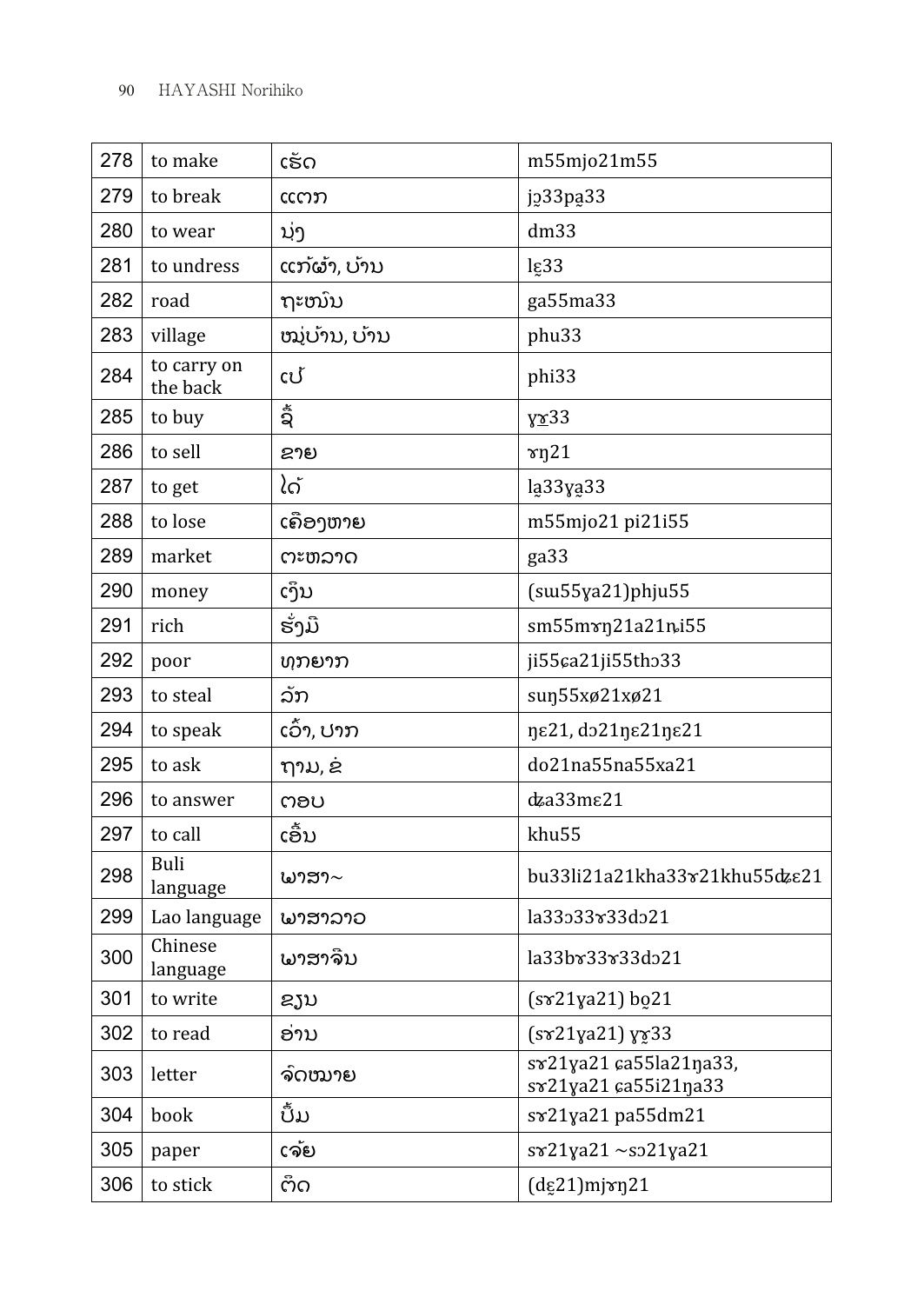| 278 | to make                 | ເຮັດ          | m55mjo21m55                                    |
|-----|-------------------------|---------------|------------------------------------------------|
| 279 | to break                | ແຕກ           | j233pa33                                       |
| 280 | to wear                 | ນຸ່ງ          | dm33                                           |
| 281 | to undress              | ແກ້ຜ້າ, ບ້ານ  | lg33                                           |
| 282 | road                    | ຖະໜົນ         | ga55ma33                                       |
| 283 | village                 | ໝູ່ບ້ານ, ບ້ານ | phu33                                          |
| 284 | to carry on<br>the back | ເປັ           | phi33                                          |
| 285 | to buy                  | ຊໍ            | $x^33$                                         |
| 286 | to sell                 | ຂາຍ           | $\gamma$ n21                                   |
| 287 | to get                  | ໄດ້           | la33ya33                                       |
| 288 | to lose                 | ເຄືອງຫາຍ      | m55mjo21 pi21i55                               |
| 289 | market                  | ຕະຫລາດ        | ga <sub>33</sub>                               |
| 290 | money                   | ເງິນ          | $(su55ya21)$ phju55                            |
| 291 | rich                    | ຮັ່ງມື        | sm55mxn21a21ni55                               |
| 292 | poor                    | ທຸກຍາກ        | ji55ca21ji55tho33                              |
| 293 | to steal                | ລັກ           | sun55xø21xø21                                  |
| 294 | to speak                | ເວົ້າ, ປາກ    | ηε21, do21ηε21ηε21                             |
| 295 | to ask                  | ຖາມ, ຂ່       | do21na55na55xa21                               |
| 296 | to answer               | ຕອບ           | dza33me21                                      |
| 297 | to call                 | ເອັ້ນ         | khu55                                          |
| 298 | Buli<br>language        | ພາສາ∼         | bu33li21a21kha33x21khu55dze21                  |
| 299 | Lao language            | ພາສາລາວ       | la33o33x33do21                                 |
| 300 | Chinese<br>language     | ພາສາຈີນ       | la33br33r33do21                                |
| 301 | to write                | ຂຽນ           | $(s\texttt{x}21\texttt{y}a21)$ bo21            |
| 302 | to read                 | ອ່ານ          | $(s\gamma 21\gamma a21)\gamma\gamma 33$        |
| 303 | letter                  | ຈົດໝາຍ        | sv21ya21 ca55la21ŋa33,<br>sx21ya21 ca55i21na33 |
| 304 | book                    | ບັ້ມ          | sx21ya21 pa55dm21                              |
| 305 | paper                   | ເຈ້ຍ          | $s$ <sup>21</sup> ya21~so21ya21                |
| 306 | to stick                | ຕິດ           | $(d_{\xi}21)$ mj $\gamma$ n $21$               |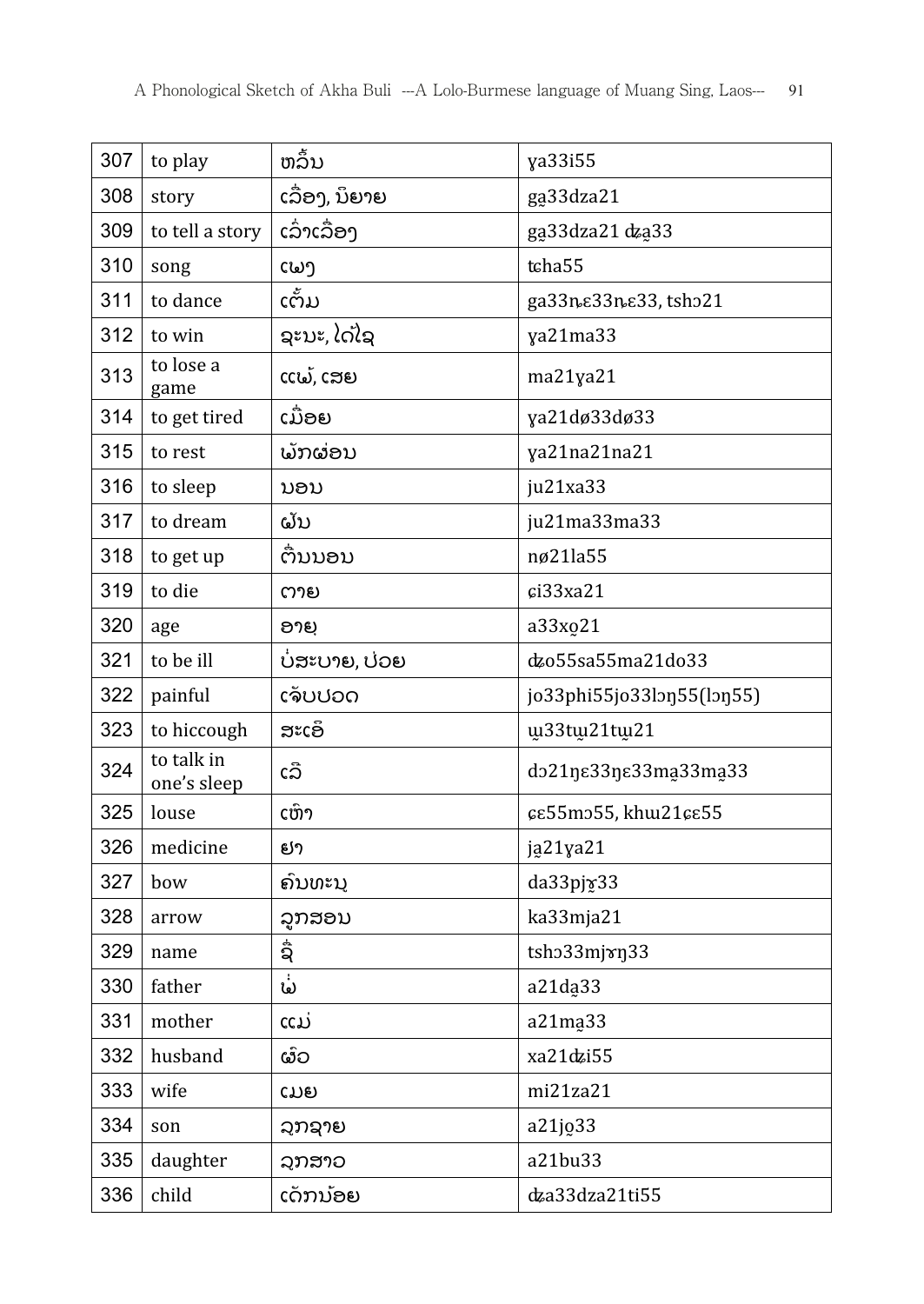| 307 | to play                   | ຫລື້ນ          | ya33i55                   |
|-----|---------------------------|----------------|---------------------------|
| 308 | story                     | ເລື່ອງ, ນິຍາຍ  | ga33dza21                 |
| 309 | to tell a story           | ເລົ່າເລື່ອງ    | ga33dza21 dza33           |
| 310 | song                      | ເພງ            | tcha55                    |
| 311 | to dance                  | ເຕັ້ມ          | ga33n & 33n & 33, tsh 21  |
| 312 | to win                    | ຊະນະ, ໄດ້ໄຊ    | ya21ma33                  |
| 313 | to lose a<br>game         | ແພ້, ເສຍ       | ma21ya21                  |
| 314 | to get tired              | ເມື່ອຍ         | ya21dø33dø33              |
| 315 | to rest                   | ພັກຜ່ອນ        | ya21na21na21              |
| 316 | to sleep                  | ນອນ            | ju21xa33                  |
| 317 | to dream                  | ຝັນ            | ju21ma33ma33              |
| 318 | to get up                 | ຕົນນອນ         | nø21la55                  |
| 319 | to die                    | ຕາຍ            | c133xa21                  |
| 320 | age                       | ອາຍຸ           | a33xo21                   |
| 321 | to be ill                 | ບໍ່ສະບາຍ, ບ່ວຍ | dzo55sa55ma21do33         |
| 322 | painful                   | ເຈັບປວດ        | jo33phi55jo33lon55(lon55) |
| 323 | to hiccough               | ສະເອົ          | w33tw21tw21               |
| 324 | to talk in<br>one's sleep | ເລື            | do21ŋɛ33ŋɛ33ma̯33ma̯33    |
| 325 | louse                     | ເຫົາ           | εε55mo55, khw21εε55       |
| 326 | medicine                  | ຢາ             | ją21ya21                  |
| 327 | bow                       | ຄົນທະນຸ        | da33pjv33                 |
| 328 | arrow                     | ລູກສອນ         | ka33mja21                 |
| 329 | name                      | ຊື່            | tsho33mjxn33              |
| 330 | father                    | ພໍ່            | a21da33                   |
| 331 | mother                    | ແມ່            | a21ma <sub>33</sub>       |
| 332 | husband                   | ຜົວ            | xa21dzi55                 |
| 333 | wife                      | ເມຍ            | mi21za21                  |
| 334 | son                       | ລຸກຊາຍ         | a21jo33                   |
| 335 | daughter                  | ລຸກສາວ         | a21bu33                   |
| 336 | child                     | ເດັກນ້ອຍ       | dza33dza21ti55            |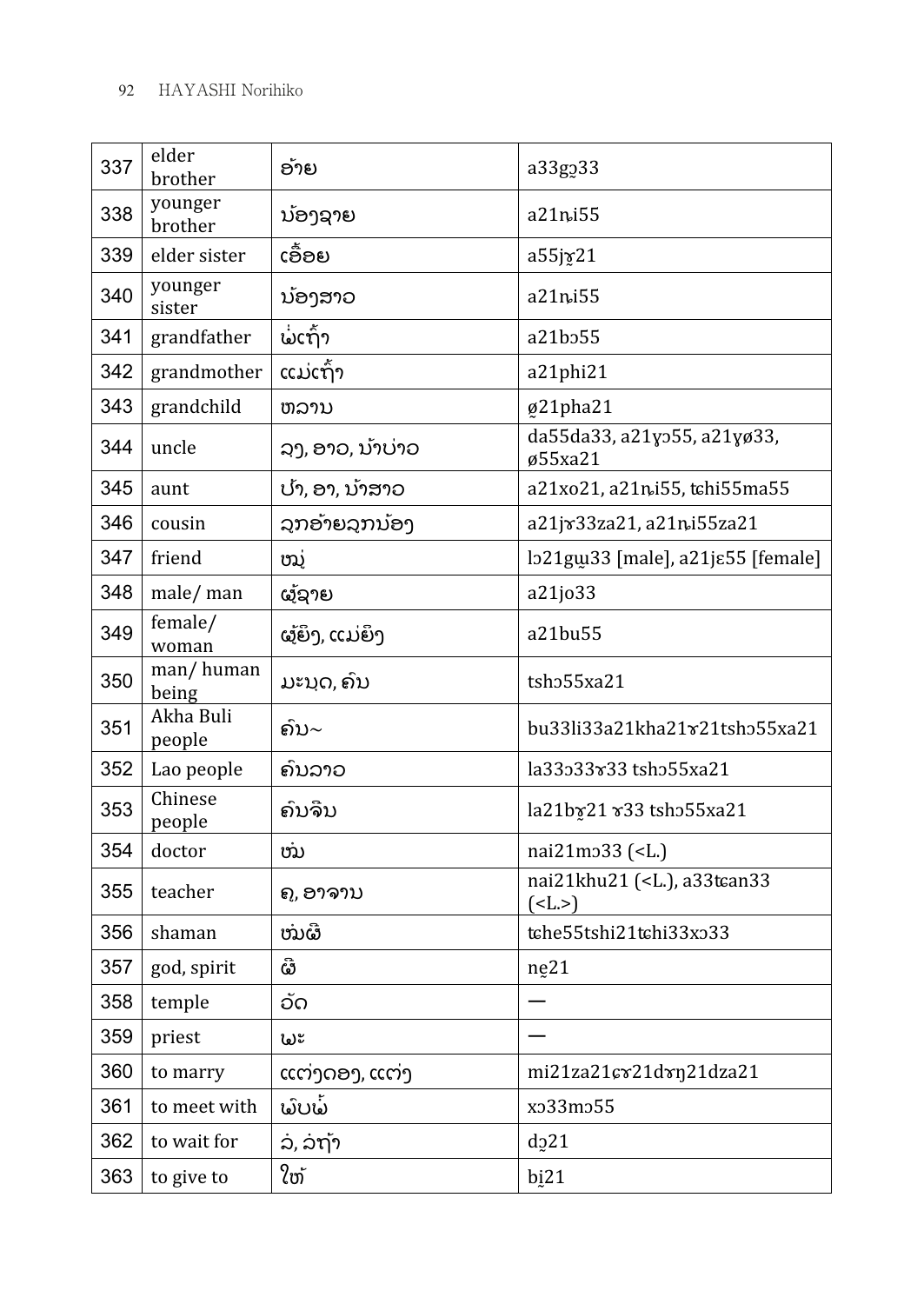| 337 | elder<br>brother    | ອ້າຍ             | a33g <sub>2</sub> 33                                  |
|-----|---------------------|------------------|-------------------------------------------------------|
| 338 | younger<br>brother  | ນ້ອງຊາຍ          | a21ni55                                               |
| 339 | elder sister        | ເອື້ອຍ           | a55jy21                                               |
| 340 | younger<br>sister   | ນ້ອງສາວ          | a21ni55                                               |
| 341 | grandfather         | ພໍ່ເຖົ້າ         | a21b <sub>255</sub>                                   |
| 342 | grandmother         | ແມ່ເຖົ້າ         | a21phi21                                              |
| 343 | grandchild          | ຫລານ             | ø21pha21                                              |
| 344 | uncle               | ລງ, ອາວ, ນ້າບ່າວ | da55da33, a21yo55, a21yø33,<br>ø55xa21                |
| 345 | aunt                | ປາ, ອາ, ນຳສາວ    | a21xo21, a21ni55, tchi55ma55                          |
| 346 | cousin              | ລຸກອຳຍລຸກນ້ອງ    | a21jx33za21, a21ni55za21                              |
| 347 | friend              | ໝູ່              | lo21gw33 [male], a21jɛ55 [female]                     |
| 348 | male/ man           | ຜູ້ຊາຍ           | a21jo33                                               |
| 349 | female/<br>woman    | ຜູ້ຍິງ, ແມ່ຍິງ   | a21bu55                                               |
| 350 | man/human<br>being  | ມະນຸດ, ຄົນ       | tsho55xa21                                            |
| 351 | Akha Buli<br>people | ຄົນ∼             | bu33li33a21kha21 x21tsh 55 xa21                       |
| 352 | Lao people          | ຄົນລາວ           | la33533 x 33 tsh 55 x a 21                            |
| 353 | Chinese<br>people   | ຄົນຈີນ           | la21by21 x33 tsho55xa21                               |
| 354 | doctor              | ໝ                | nai21mo33 ( <l.)< td=""></l.)<>                       |
| 355 | teacher             | ຄູ, ອາຈານ        | nai21khu21 ( <l.), a33tcan33<br="">(<b>L</b>.)</l.),> |
| 356 | shaman              | ໜຜີ              | tche55tshi21tchi33xo33                                |
| 357 | god, spirit         | ຜີ               | ne21                                                  |
| 358 | temple              | ວັດ              |                                                       |
| 359 | priest              | ພະ               |                                                       |
| 360 | to marry            | ແຕ່ງດອງ, ແຕ່ງ    | mi21za21cv21dvn21dza21                                |
| 361 | to meet with        | ພົບພ້            | xo33mo55                                              |
| 362 | to wait for         | ລ, ລຖ້າ          | $d_{2}$ 21                                            |
| 363 | to give to          | ໃຫ້              | bi21                                                  |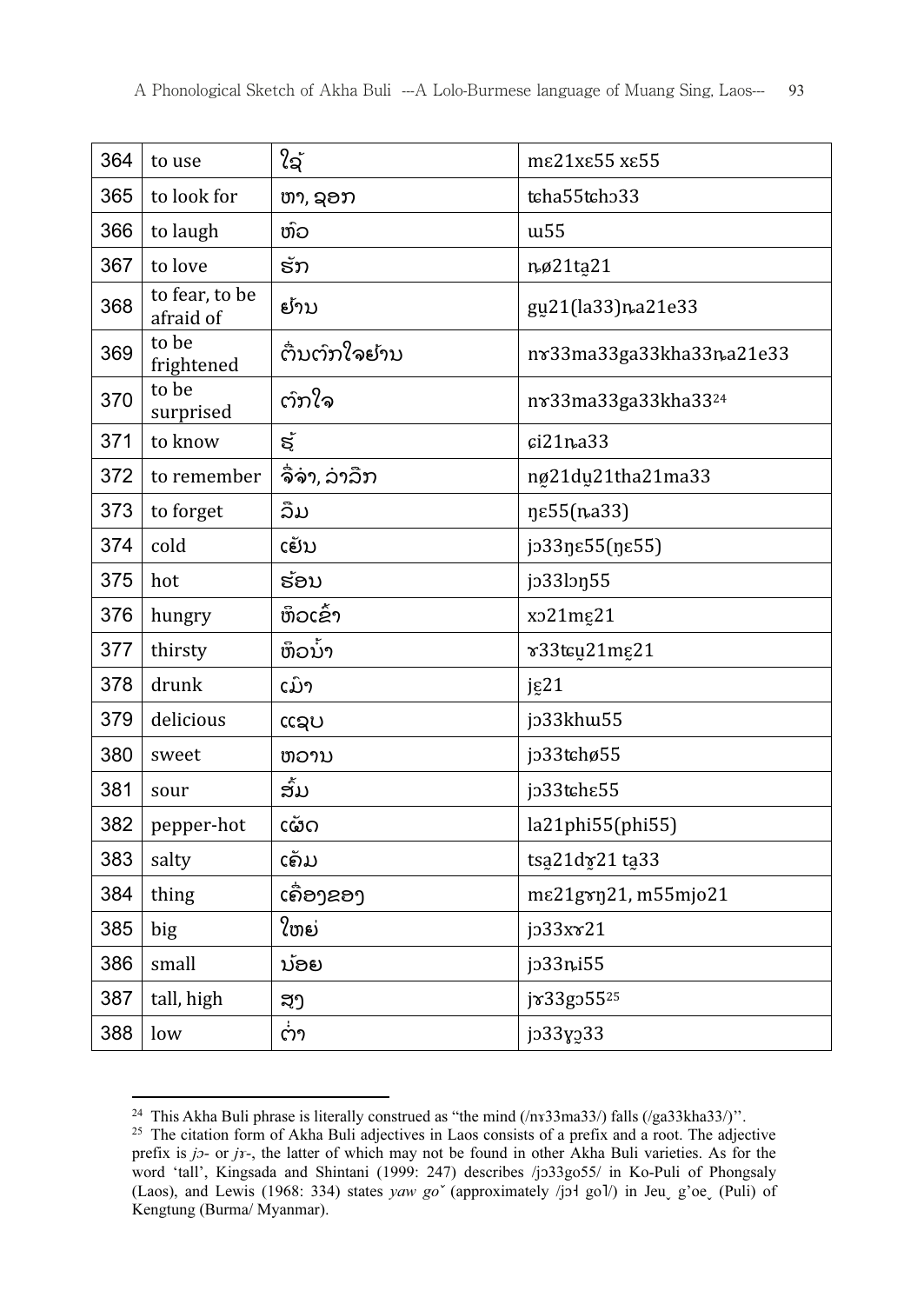| 364 | to use                      | ໃຊ້          | me21xe55 xe55                        |
|-----|-----------------------------|--------------|--------------------------------------|
| 365 | to look for                 | ຫາ, ຊອກ      | tcha55tcho33                         |
| 366 | to laugh                    | ຫົວ          | w <sub>55</sub>                      |
| 367 | to love                     | ຮັກ          | nø21ta21                             |
| 368 | to fear, to be<br>afraid of | ຢັານ         | gu21(la33)na21e33                    |
| 369 | to be<br>frightened         | ຕົນຕົກໃຈຢ້ານ | n x 33 ma 33 ga 33 kha 33 na 21 e 33 |
| 370 | to be<br>surprised          | ຕົກໃຈ        | nv33ma33ga33kha3324                  |
| 371 | to know                     | ಕ್ಕ          | ci21na33                             |
| 372 | to remember                 | ຈື່ຈາ, ລາລືກ | ng21du21tha21ma33                    |
| 373 | to forget                   | ລືມ          | ηε55( <i>η</i> .a33)                 |
| 374 | cold                        | ເຢັນ         | jo33ηε55(ηε55)                       |
| 375 | hot                         | ຮ້ອນ         | $j$ 33 $l$                           |
| 376 | hungry                      | ຫິວເຂົ້າ     | xo21mg21                             |
| 377 | thirsty                     | ຫິວນ້ໍາ      | v33tcu21mg21                         |
| 378 | drunk                       | ເມົາ         | jg21                                 |
| 379 | delicious                   | ແຊບ          | jo33khw55                            |
| 380 | sweet                       | ຫວານ         | jo33tchø55                           |
| 381 | sour                        | ສັ້ມ         | jo33tche55                           |
| 382 | pepper-hot                  | ເຜັດ         | la21phi55(phi55)                     |
| 383 | salty                       | ເຄັມ         | tsa21dy21 ta33                       |
| 384 | thing                       | ເຄື່ອງຂອງ    | mε21gγη21, m55mjo21                  |
| 385 | big                         | ໃຫຍ່         | jo33xx21                             |
| 386 | small                       | ນ້ອຍ         | jo33ni55                             |
| 387 | tall, high                  | ສູງ          | jx33go5525                           |
| 388 | low                         | ຕ່າ          | jo33yo33                             |

 <sup>24</sup> This Akha Buli phrase is literally construed as "the mind  $(\frac{ln33ma33}{)$  falls  $(\frac{log33kha33}{)$ ".

<sup>&</sup>lt;sup>25</sup> The citation form of Akha Buli adjectives in Laos consists of a prefix and a root. The adjective prefix is jo- or jr-, the latter of which may not be found in other Akha Buli varieties. As for the word 'tall', Kingsada and Shintani (1999: 247) describes /jɔ33go55/ in Ko-Puli of Phongsaly (Laos), and Lewis (1968: 334) states yaw go<sup>v</sup> (approximately /jɔɬ gol/) in Jeu g'oe<sub>v</sub> (Puli) of Kengtung (Burma/ Myanmar).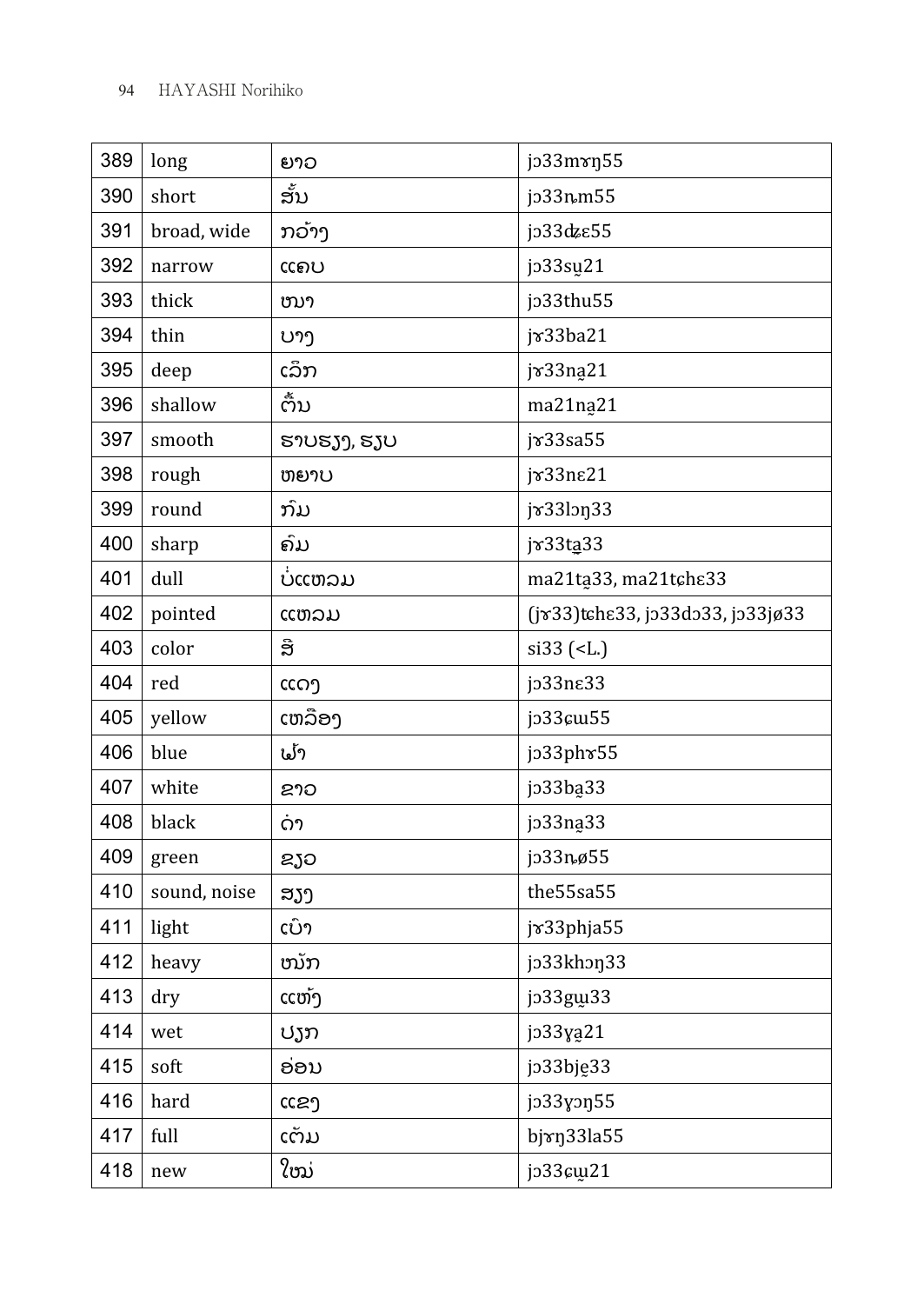| 389 | long         | ຍາວ         | jo33mxn55                        |
|-----|--------------|-------------|----------------------------------|
| 390 | short        | ສັ້ນ        | jo33nm55                         |
| 391 | broad, wide  | ກວ້າງ       | јэ33фе55                         |
| 392 | narrow       | ແຄບ         | jo33su21                         |
| 393 | thick        | ໜາ          | jo33thu55                        |
| 394 | thin         | ບາງ         | jv33ba21                         |
| 395 | deep         | ເລິກ        | jv33na21                         |
| 396 | shallow      | ຕົ້ນ        | ma21na21                         |
| 397 | smooth       | ຮາບຮຽງ, ຮຽບ | jx33sa55                         |
| 398 | rough        | ຫຍາບ        | jv33ne21                         |
| 399 | round        | ກົມ         | jx33lon33                        |
| 400 | sharp        | ຄົມ         | jv33ta33                         |
| 401 | dull         | ບແຫລມ       | ma21ta33, ma21tche33             |
| 402 | pointed      | ແຫລມ        | (jv33)tche33, jp33dp33, jp33jø33 |
| 403 | color        | ອື          | $si33$ ( <l.)< td=""></l.)<>     |
| 404 | red          | ແດງ         | jo33ne33                         |
| 405 | yellow       | ເຫລືອງ      | jo33cm55                         |
| 406 | blue         | ຟ້າ         | jo33phr55                        |
| 407 | white        | ຂາວ         | jo33ba33                         |
| 408 | black        | ດາ          | jo33na <sub>33</sub>             |
| 409 | green        | ຂຽວ         | jo33nø55                         |
| 410 | sound, noise | ສຽງ         | the55sa55                        |
| 411 | light        | ເບົາ        | jv33phja55                       |
| 412 | heavy        | ໜັກ         | jo33khon33                       |
| 413 | dry          | ແຫ້ງ        | jo33gw33                         |
| 414 | wet          | ປຽກ         | jo33ya21                         |
| 415 | soft         | ອ່ອນ        | jo33bję33                        |
| 416 | hard         | ແຂງ         | jo33yon55                        |
| 417 | full         | ເຕັມ        | bjxn33la55                       |
| 418 | new          | ໃໝ່         | jo33cm21                         |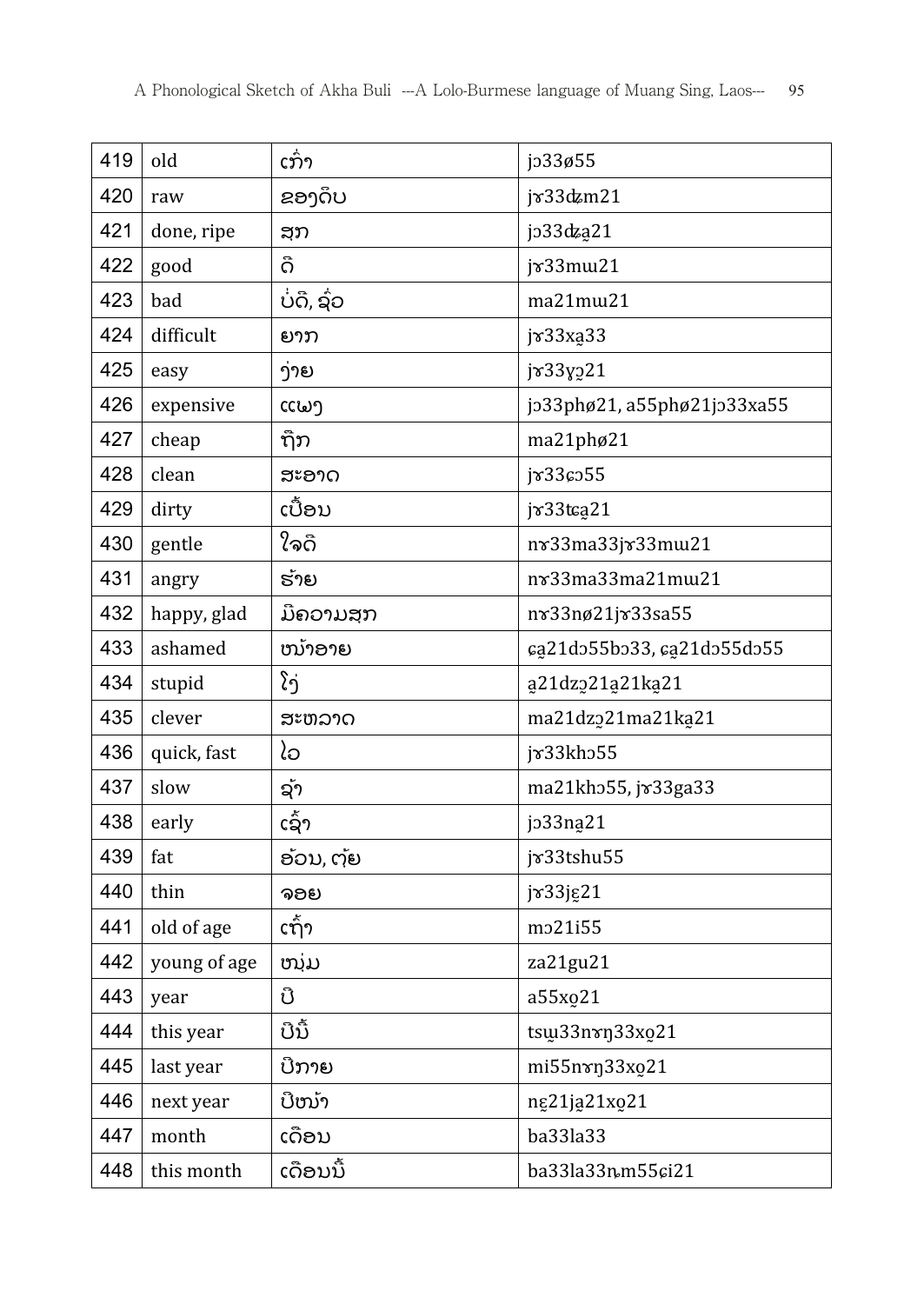| 419 | old          | ເກົ່າ       | jo33ø55                     |
|-----|--------------|-------------|-----------------------------|
| 420 | raw          | ຂອງດຶບ      | jv33dzm21                   |
| 421 | done, ripe   | ສຸກ         | jo33dza21                   |
| 422 | good         | ດີ          | jx33mw21                    |
| 423 | bad          | ບໍ່ດີ, ຊົ່ວ | ma21mw21                    |
| 424 | difficult    | ຍາກ         | jv33xa33                    |
| 425 | easy         | ງ່າຍ        | jv33y221                    |
| 426 | expensive    | ແພງ         | jo33phø21, a55phø21jo33xa55 |
| 427 | cheap        | ຖືກ         | ma21phø21                   |
| 428 | clean        | ສະອາດ       | jr33co55                    |
| 429 | dirty        | ເປື້ອນ      | $j\mathcal{B}33$ tca21      |
| 430 | gentle       | ໃຈດີ        | nv33ma33jv33mm21            |
| 431 | angry        | ຮ້າຍ        | nv33ma33ma21mw21            |
| 432 | happy, glad  | ມີຄວາມສຸກ   | nv33nø21jv33sa55            |
| 433 | ashamed      | ໜ້າອາຍ      | ca21do55bo33, ca21do55do55  |
| 434 | stupid       | ໂງ່         | a21dz221a21ka21             |
| 435 | clever       | ສະຫລາດ      | ma21dz221ma21ka21           |
| 436 | quick, fast  | ໄວ          | jv33kho55                   |
| 437 | slow         | ຊັາ         | ma21kho55, jv33ga33         |
| 438 | early        | ເຊົາ        | jo33na21                    |
| 439 | fat          | ອ້ວນ, ຕຸ້ຍ  | jv33tshu55                  |
| 440 | thin         | ຈອຍ         | jv33jg21                    |
| 441 | old of age   | ເຖົ້າ       | mo21i55                     |
| 442 | young of age | ໜຸ່ມ        | za21gu21                    |
| 443 | year         | ປີ          | a55xo21                     |
| 444 | this year    | ປີນີ້       | tsw33nvn33xo21              |
| 445 | last year    | ບີກາຍ       | mi55nxn33xo21               |
| 446 |              | ປີໜ້າ       | ng21ja21xo21                |
|     | next year    |             |                             |
| 447 | month        | ເດືອນ       | ba33la33                    |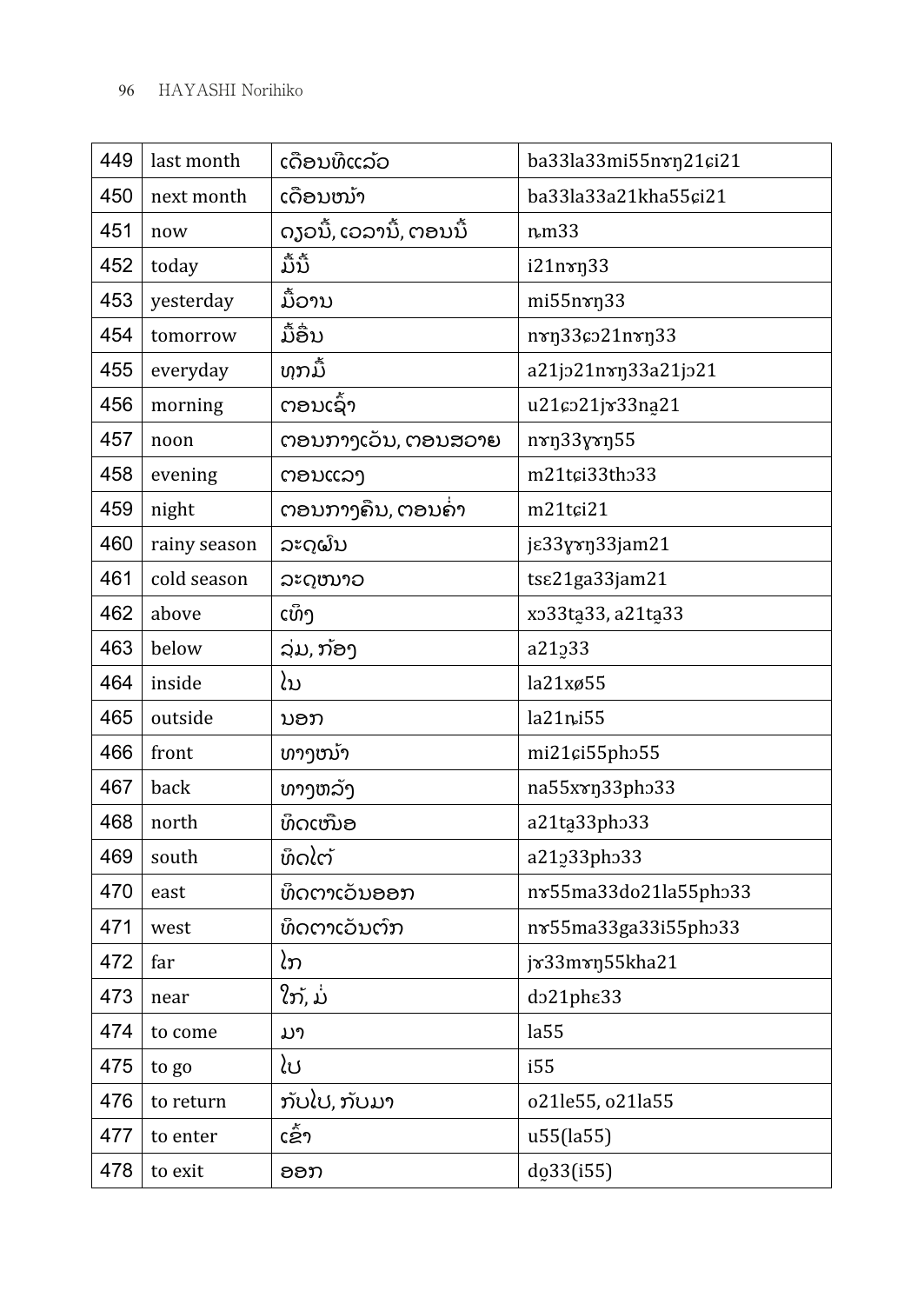| 449 | last month   | ເດືອນທີແລ້ວ             | ba33la33mi55nvn21ci21  |
|-----|--------------|-------------------------|------------------------|
| 450 | next month   | ເດືອນໜ້າ                | ba33la33a21kha55ci21   |
| 451 | now          | ດງວນີ້, ເວລານີ້, ຕອນນີ້ | nm33                   |
| 452 | today        | ມື້ນີ້                  | i21nvn33               |
| 453 | yesterday    | ມື້ວານ                  | mi55nxn33              |
| 454 | tomorrow     | ມື້ອື່ນ                 | nvn336021nvn33         |
| 455 | everyday     | ທຸກມື້                  | a21jo21nvn33a21jo21    |
| 456 | morning      | ຕອນເຊົ້າ                | u21co21jv33na21        |
| 457 | noon         | ຕອນກາງເວັນ, ຕອນສວາຍ     | nxn33yxn55             |
| 458 | evening      | ຕອນແລງ                  | m21tci33tho33          |
| 459 | night        | ຕອນກາງຄືນ, ຕອນຄ່າ       | m21tci21               |
| 460 | rainy season | ລະດູຝົນ                 | je33yxn33jam21         |
| 461 | cold season  | ລະດໜາວ                  | tse21ga33jam21         |
| 462 | above        | ເທິງ                    | xo33ta33, a21ta33      |
| 463 | below        | ລຸ່ມ, ກ້ອງ              | a21233                 |
| 464 | inside       | ໄນ                      | $la21x\varnothing55$   |
| 465 | outside      | ນອກ                     | $la21n$ <sub>i55</sub> |
| 466 | front        | ທາງໜ້າ                  | mi21ci55pho55          |
| 467 | back         | ທາງຫລັງ                 | na55xxn33pho33         |
| 468 | north        | ທິດເໜືອ                 | a21ta33pho33           |
| 469 | south        | ທິດໄຕ້                  | a21233pho33            |
| 470 | east         | ທິດຕາເວັນອອກ            | nv55ma33do21la55pho33  |
| 471 | west         | ທິດຕາເວັນຕົກ            | nv55ma33ga33i55pho33   |
| 472 | far          | ໄກ                      | jr33mrn55kha21         |
| 473 | near         | ໃກ້, ມໍ່                | do21phε33              |
| 474 | to come      | ມາ                      | la55                   |
| 475 | to go        | ໄປ                      | i55                    |
| 476 | to return    | ກັບໄປ, ກັບມາ            | o21le55, o21la55       |
| 477 | to enter     | ເຂົ້າ                   | u55(la55)              |
| 478 | to exit      | ອອກ                     | do <sub>33</sub> (i55) |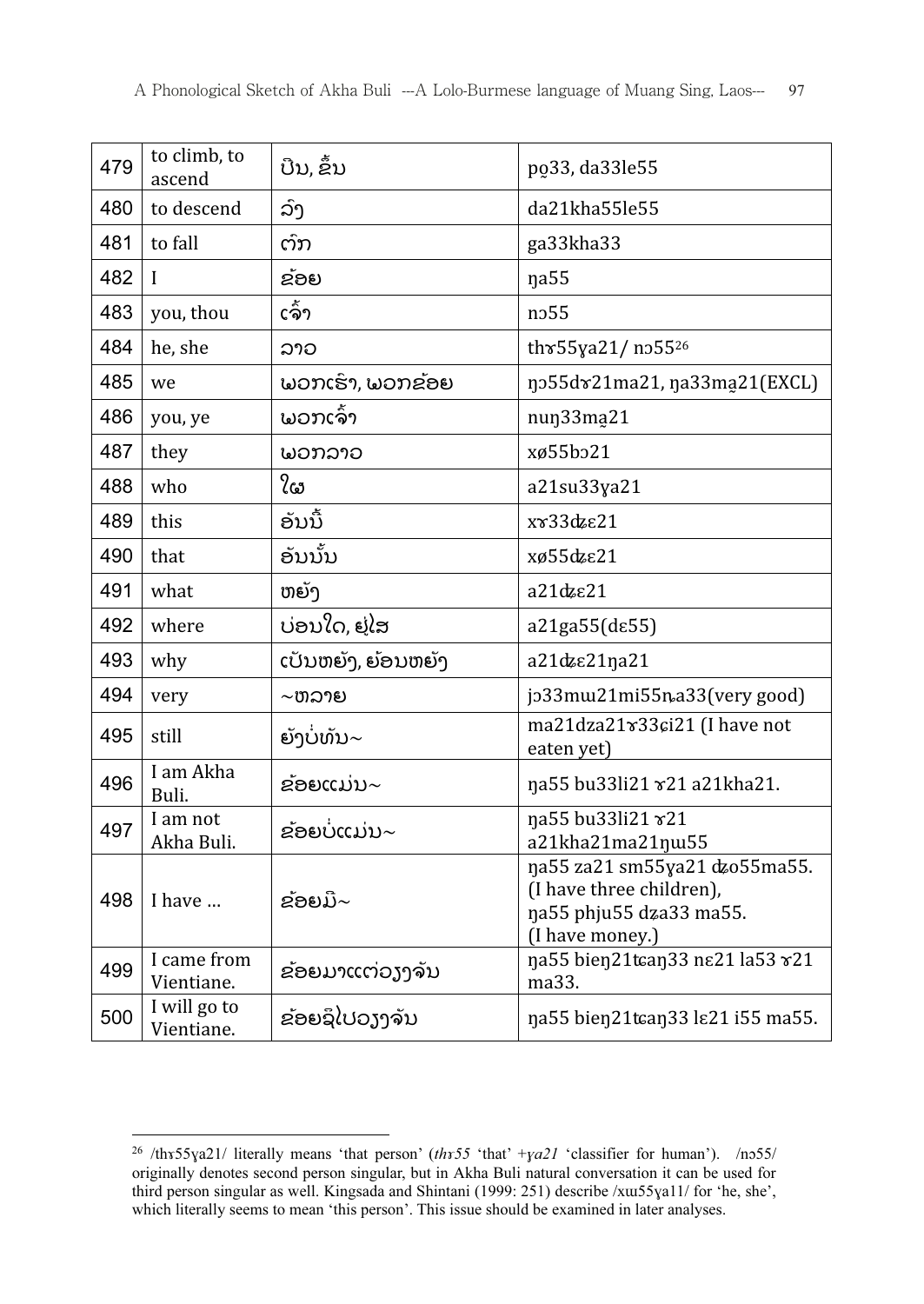| 479 | to climb, to<br>ascend     | ບືນ, ຂຶ້ນ          | po33, da33le55                                                                                          |
|-----|----------------------------|--------------------|---------------------------------------------------------------------------------------------------------|
| 480 | to descend                 | ລົງ                | da21kha55le55                                                                                           |
| 481 | to fall                    | ຕົກ                | ga33kha33                                                                                               |
| 482 | L                          | ຂ້ອຍ               | na55                                                                                                    |
| 483 | you, thou                  | ເຈົ້າ              | n <sub>255</sub>                                                                                        |
| 484 | he, she                    | ລາວ                | thr55ya21/ no55 <sup>26</sup>                                                                           |
| 485 | we                         | ພວກເຮົາ, ພວກຂ້ອຍ   | no55dx21ma21, na33ma21(EXCL)                                                                            |
| 486 | you, ye                    | ພວກເຈົ້າ           | nun33ma21                                                                                               |
| 487 | they                       | ພວກລາວ             | xø55bo21                                                                                                |
| 488 | who                        | ໃຜ                 | a21su33ya21                                                                                             |
| 489 | this                       | ອັນນີ້             | xγ33dzε21                                                                                               |
| 490 | that                       | ອັນນັ້ນ            | xø55dzε21                                                                                               |
| 491 | what                       | ຫຍັງ               | a21dzε21                                                                                                |
| 492 | where                      | ບ່ອນໃດ, ຢູ່ໄສ      | a21ga55(de55)                                                                                           |
| 493 | why                        | ເປັນຫຍັງ, ຍ້ອນຫຍັງ | a21dz $\varepsilon$ 21ŋa21                                                                              |
| 494 | very                       | $\sim$ ຫລາຍ        | jo33mw21mi55na33(very good)                                                                             |
| 495 | still                      | ຍັງບໍ່ທັນ $\sim$   | ma21dza21 r33 ci21 (I have not<br>eaten yet)                                                            |
| 496 | I am Akha<br>Buli.         | ຂ້ອຍແມ່ນ~          | na55 bu33li21 x21 a21kha21.                                                                             |
| 497 | I am not<br>Akha Buli.     | ຂ້ອຍບໍ່ແມ່ນ~       | na55 bu33li21 x21<br>a21kha21ma21ŋw55                                                                   |
| 498 | I have                     | ຂ້ອຍມີ $\sim$      | na55 za21 sm55ya21 dzo55ma55.<br>(I have three children),<br>na55 phju55 dza33 ma55.<br>(I have money.) |
| 499 | I came from<br>Vientiane.  | ຂ້ອຍມາແຕ່ວງງຈັນ    | na55 bien21tcan33 ne21 la53 x21<br>ma33.                                                                |
| 500 | I will go to<br>Vientiane. | ຂ່ອຍຊິໄປວຽງຈັນ     | na55 bien21tcan33 ls21 i55 ma55.                                                                        |

<sup>1</sup> <sup>26</sup>/thx55ya21/ literally means 'that person' (thx55 'that' +ya21 'classifier for human'). /nɔ55/<br>originally denotes second person singular but in Akha Buli natural conversation it can be used for originally denotes second person singular, but in Akha Buli natural conversation it can be used for third person singular as well. Kingsada and Shintani (1999: 251) describe /xɯ55ɣa11/ for 'he, she', which literally seems to mean 'this person'. This issue should be examined in later analyses.